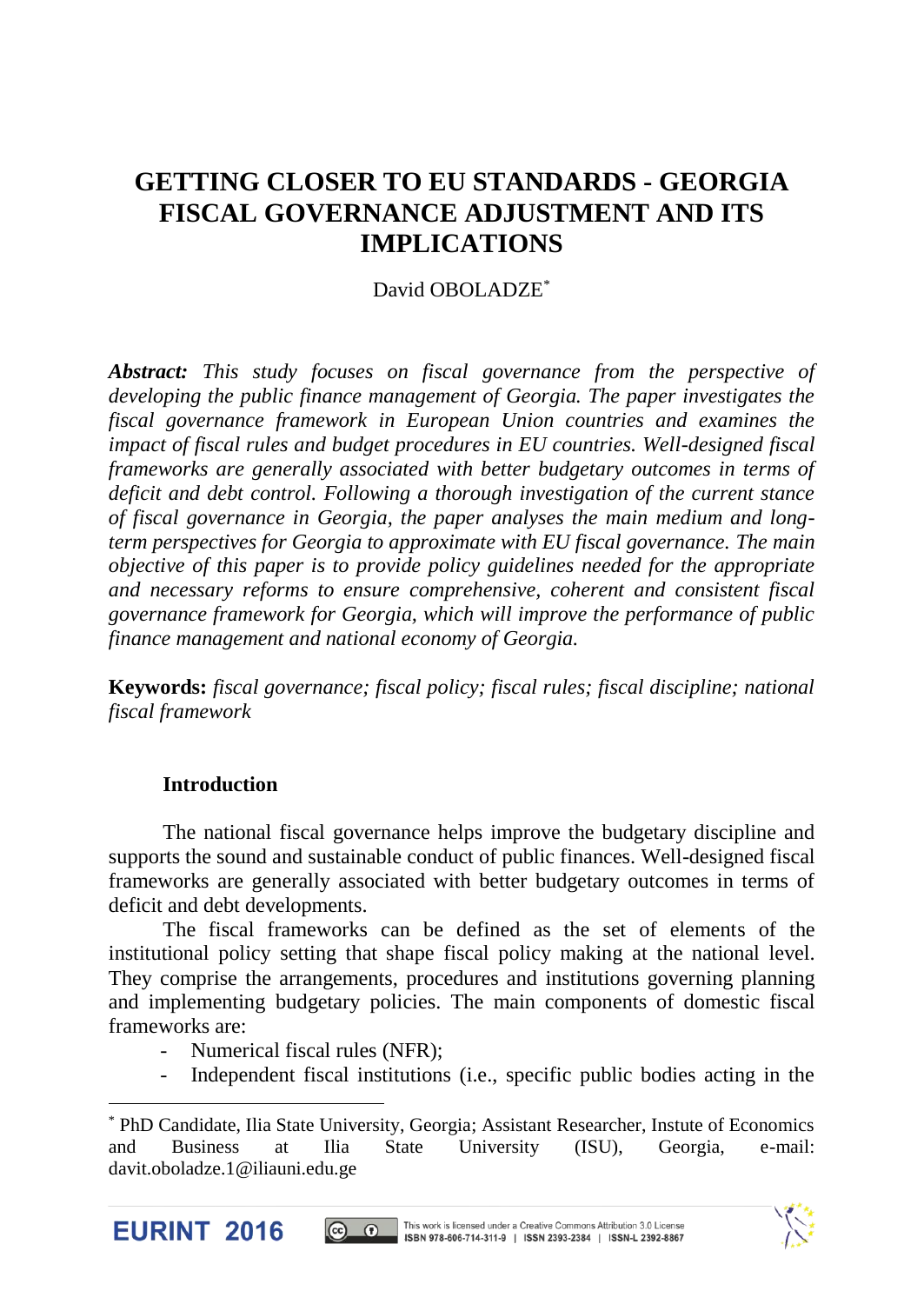# **GETTING CLOSER TO EU STANDARDS - GEORGIA FISCAL GOVERNANCE ADJUSTMENT AND ITS IMPLICATIONS**

# David OBOLADZE\*

*Abstract: This study focuses on fiscal governance from the perspective of developing the public finance management of Georgia. The paper investigates the fiscal governance framework in European Union countries and examines the impact of fiscal rules and budget procedures in EU countries. Well-designed fiscal frameworks are generally associated with better budgetary outcomes in terms of deficit and debt control. Following a thorough investigation of the current stance of fiscal governance in Georgia, the paper analyses the main medium and longterm perspectives for Georgia to approximate with EU fiscal governance. The main objective of this paper is to provide policy guidelines needed for the appropriate and necessary reforms to ensure comprehensive, coherent and consistent fiscal governance framework for Georgia, which will improve the performance of public finance management and national economy of Georgia.*

**Keywords:** *fiscal governance; fiscal policy; fiscal rules; fiscal discipline; national fiscal framework*

#### **Introduction**

The national fiscal governance helps improve the budgetary discipline and supports the sound and sustainable conduct of public finances. Well-designed fiscal frameworks are generally associated with better budgetary outcomes in terms of deficit and debt developments.

The fiscal frameworks can be defined as the set of elements of the institutional policy setting that shape fiscal policy making at the national level. They comprise the arrangements, procedures and institutions governing planning and implementing budgetary policies. The main components of domestic fiscal frameworks are:

- Numerical fiscal rules (NFR):
- Independent fiscal institutions (i.e., specific public bodies acting in the

<sup>\*</sup> PhD Candidate, Ilia State University, Georgia; Assistant Researcher, Instute of Economics and Business at Ilia State University (ISU), Georgia, e-mail: davit.oboladze.1@iliauni.edu.ge



 $\overline{a}$ 



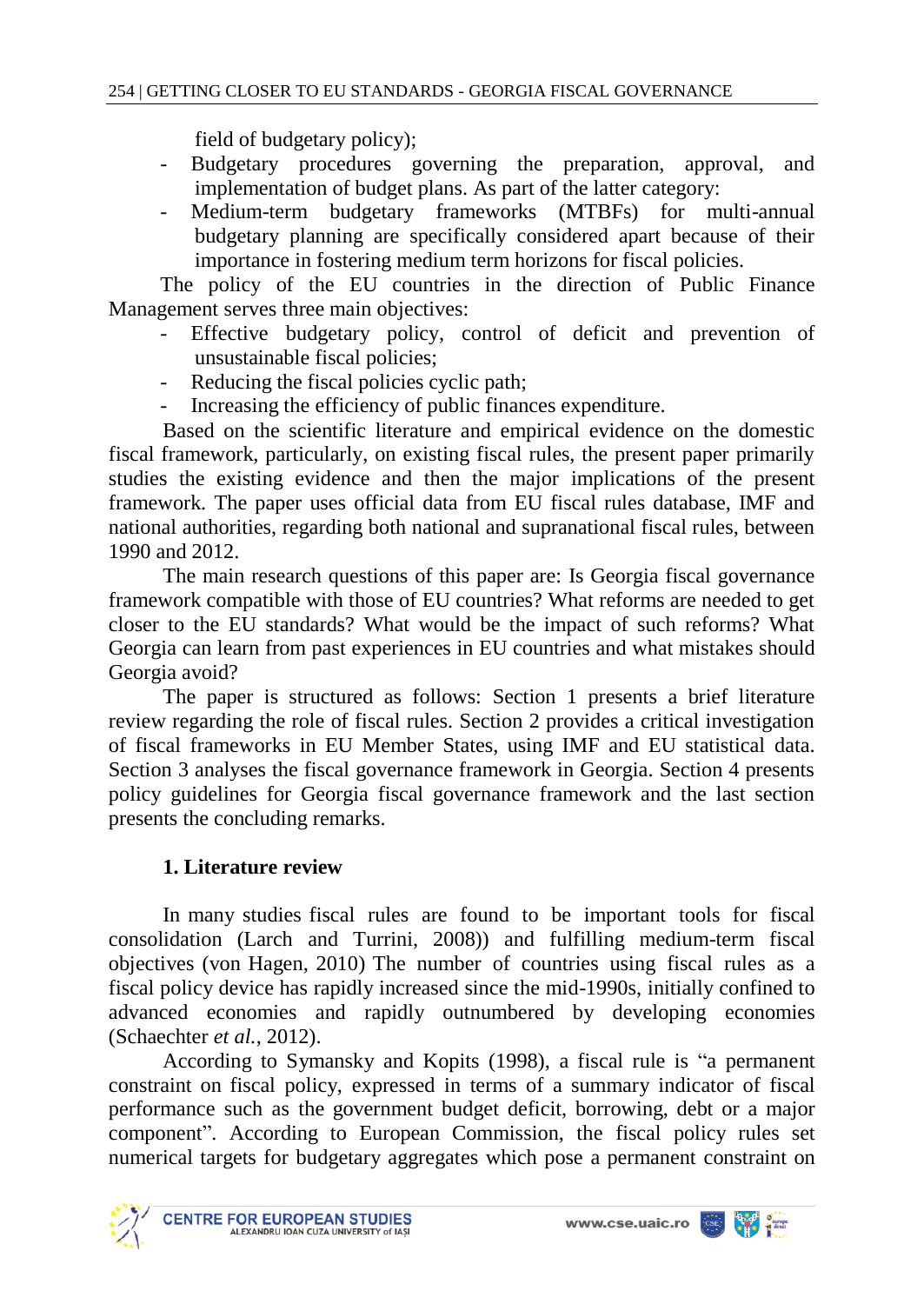field of budgetary policy);

- Budgetary procedures governing the preparation, approval, and implementation of budget plans. As part of the latter category:
- Medium-term budgetary frameworks (MTBFs) for multi-annual budgetary planning are specifically considered apart because of their importance in fostering medium term horizons for fiscal policies.

The policy of the EU countries in the direction of Public Finance Management serves three main objectives:

- Effective budgetary policy, control of deficit and prevention of unsustainable fiscal policies;
- Reducing the fiscal policies cyclic path;
- Increasing the efficiency of public finances expenditure.

Based on the scientific literature and empirical evidence on the domestic fiscal framework, particularly, on existing fiscal rules, the present paper primarily studies the existing evidence and then the major implications of the present framework. The paper uses official data from EU fiscal rules database, IMF and national authorities, regarding both national and supranational fiscal rules, between 1990 and 2012.

The main research questions of this paper are: Is Georgia fiscal governance framework compatible with those of EU countries? What reforms are needed to get closer to the EU standards? What would be the impact of such reforms? What Georgia can learn from past experiences in EU countries and what mistakes should Georgia avoid?

The paper is structured as follows: Section 1 presents a brief literature review regarding the role of fiscal rules. Section 2 provides a critical investigation of fiscal frameworks in EU Member States, using IMF and EU statistical data. Section 3 analyses the fiscal governance framework in Georgia. Section 4 presents policy guidelines for Georgia fiscal governance framework and the last section presents the concluding remarks.

#### **1. Literature review**

In many studies fiscal rules are found to be important tools for fiscal consolidation (Larch and Turrini, 2008)) and fulfilling medium-term fiscal objectives (von Hagen, 2010) The number of countries using fiscal rules as a fiscal policy device has rapidly increased since the mid-1990s, initially confined to advanced economies and rapidly outnumbered by developing economies (Schaechter *et al.*, 2012).

According to Symansky and Kopits (1998), a fiscal rule is "a permanent constraint on fiscal policy, expressed in terms of a summary indicator of fiscal performance such as the government budget deficit, borrowing, debt or a major component". According to European Commission, the fiscal policy rules set numerical targets for budgetary aggregates which pose a permanent constraint on

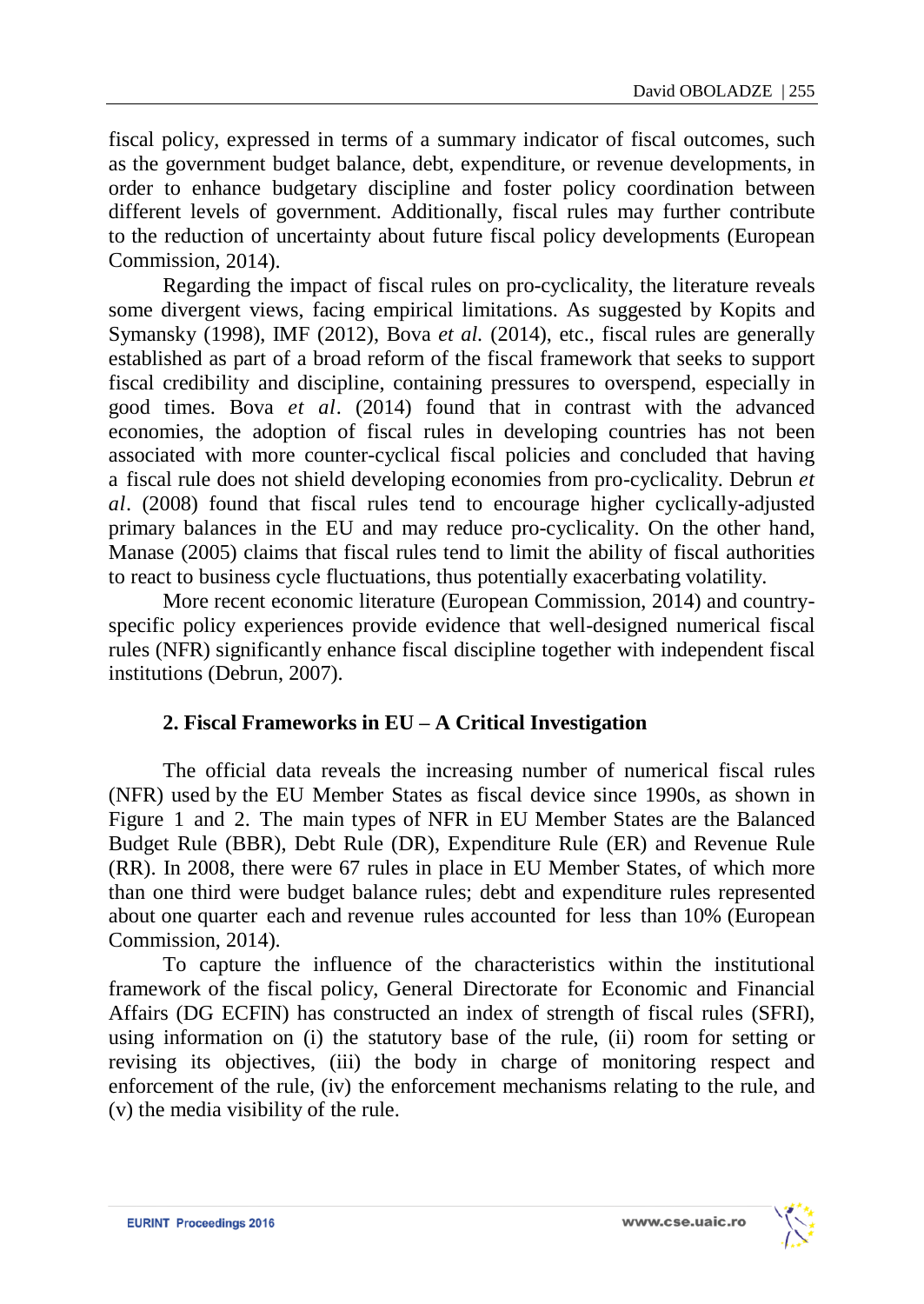fiscal policy, expressed in terms of a summary indicator of fiscal outcomes, such as the government budget balance, debt, expenditure, or revenue developments, in order to enhance budgetary discipline and foster policy coordination between different levels of government. Additionally, fiscal rules may further contribute to the reduction of uncertainty about future fiscal policy developments (European Commission, 2014).

Regarding the impact of fiscal rules on pro-cyclicality, the literature reveals some divergent views, facing empirical limitations. As suggested by Kopits and Symansky (1998), IMF (2012), Bova *et al.* (2014), etc., fiscal rules are generally established as part of a broad reform of the fiscal framework that seeks to support fiscal credibility and discipline, containing pressures to overspend, especially in good times. Bova *et al*. (2014) found that in contrast with the advanced economies, the adoption of fiscal rules in developing countries has not been associated with more counter-cyclical fiscal policies and concluded that having a fiscal rule does not shield developing economies from pro-cyclicality. Debrun *et al*. (2008) found that fiscal rules tend to encourage higher cyclically-adjusted primary balances in the EU and may reduce pro-cyclicality. On the other hand, Manase (2005) claims that fiscal rules tend to limit the ability of fiscal authorities to react to business cycle fluctuations, thus potentially exacerbating volatility.

More recent economic literature (European Commission, 2014) and countryspecific policy experiences provide evidence that well-designed numerical fiscal rules (NFR) significantly enhance fiscal discipline together with independent fiscal institutions (Debrun, 2007).

# **2. Fiscal Frameworks in EU – A Critical Investigation**

The official data reveals the increasing number of numerical fiscal rules (NFR) used by the EU Member States as fiscal device since 1990s, as shown in Figure 1 and 2. The main types of NFR in EU Member States are the Balanced Budget Rule (BBR), Debt Rule (DR), Expenditure Rule (ER) and Revenue Rule (RR). In 2008, there were 67 rules in place in EU Member States, of which more than one third were budget balance rules; debt and expenditure rules represented about one quarter each and revenue rules accounted for less than 10% (European Commission, 2014).

To capture the influence of the characteristics within the institutional framework of the fiscal policy, General Directorate for Economic and Financial Affairs (DG ECFIN) has constructed an index of strength of fiscal rules (SFRI), using information on (i) the statutory base of the rule, (ii) room for setting or revising its objectives, (iii) the body in charge of monitoring respect and enforcement of the rule, (iv) the enforcement mechanisms relating to the rule, and (v) the media visibility of the rule.

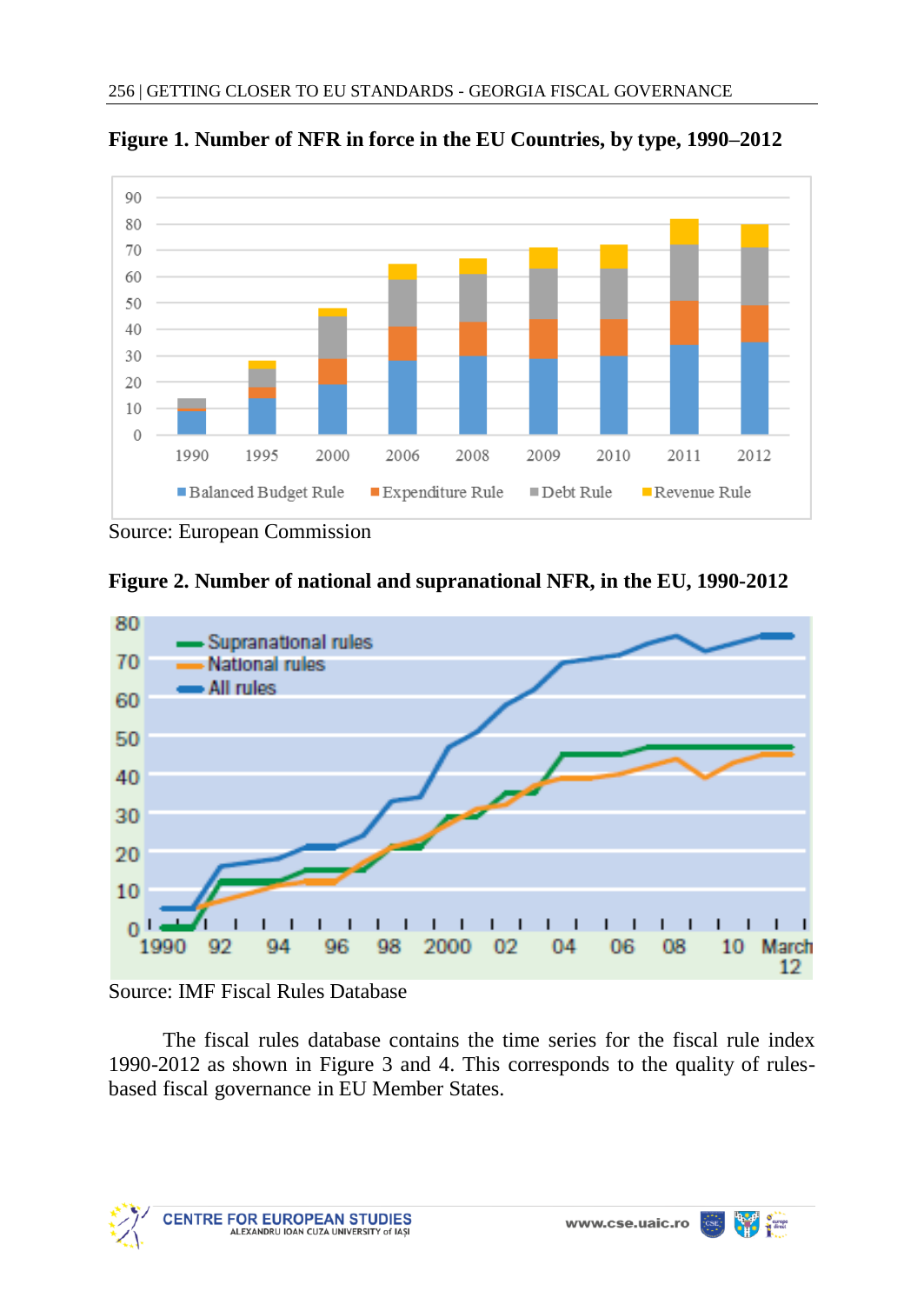

**Figure 1. Number of NFR in force in the EU Countries, by type, 1990–2012**

Source: European Commission





# Source: IMF Fiscal Rules Database

The fiscal rules database contains the time series for the fiscal rule index 1990-2012 as shown in Figure 3 and 4. This corresponds to the quality of rulesbased fiscal governance in EU Member States.



**The Second**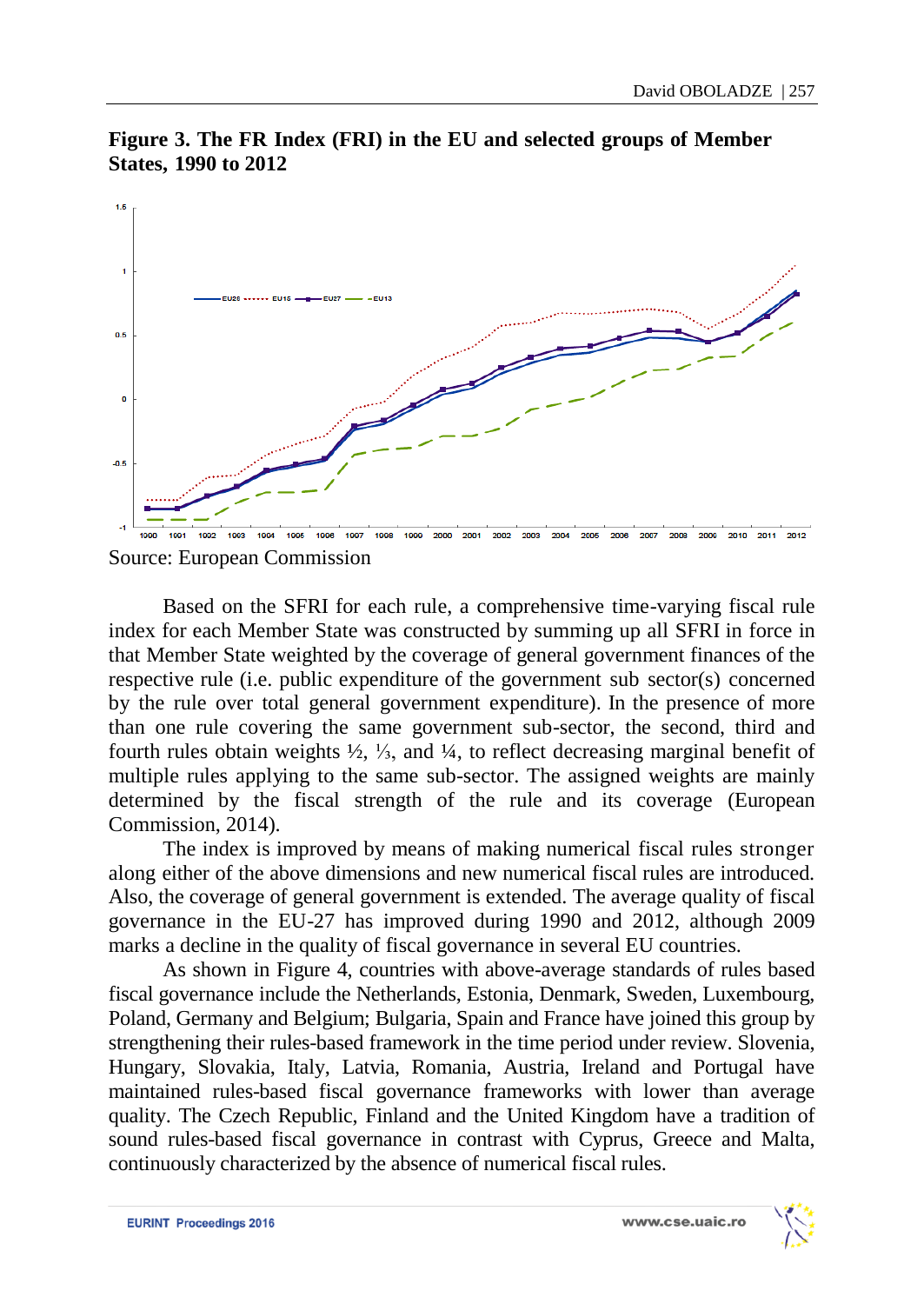

**Figure 3. The FR Index (FRI) in the EU and selected groups of Member States, 1990 to 2012**

Based on the SFRI for each rule, a comprehensive time-varying fiscal rule index for each Member State was constructed by summing up all SFRI in force in that Member State weighted by the coverage of general government finances of the respective rule (i.e. public expenditure of the government sub sector(s) concerned by the rule over total general government expenditure). In the presence of more than one rule covering the same government sub-sector, the second, third and fourth rules obtain weights ½, ⅓, and ¼, to reflect decreasing marginal benefit of multiple rules applying to the same sub-sector. The assigned weights are mainly determined by the fiscal strength of the rule and its coverage (European Commission, 2014).

The index is improved by means of making numerical fiscal rules stronger along either of the above dimensions and new numerical fiscal rules are introduced. Also, the coverage of general government is extended. The average quality of fiscal governance in the EU-27 has improved during 1990 and 2012, although 2009 marks a decline in the quality of fiscal governance in several EU countries.

As shown in Figure 4, countries with above-average standards of rules based fiscal governance include the Netherlands, Estonia, Denmark, Sweden, Luxembourg, Poland, Germany and Belgium; Bulgaria, Spain and France have joined this group by strengthening their rules-based framework in the time period under review. Slovenia, Hungary, Slovakia, Italy, Latvia, Romania, Austria, Ireland and Portugal have maintained rules-based fiscal governance frameworks with lower than average quality. The Czech Republic, Finland and the United Kingdom have a tradition of sound rules-based fiscal governance in contrast with Cyprus, Greece and Malta, continuously characterized by the absence of numerical fiscal rules.



Source: European Commission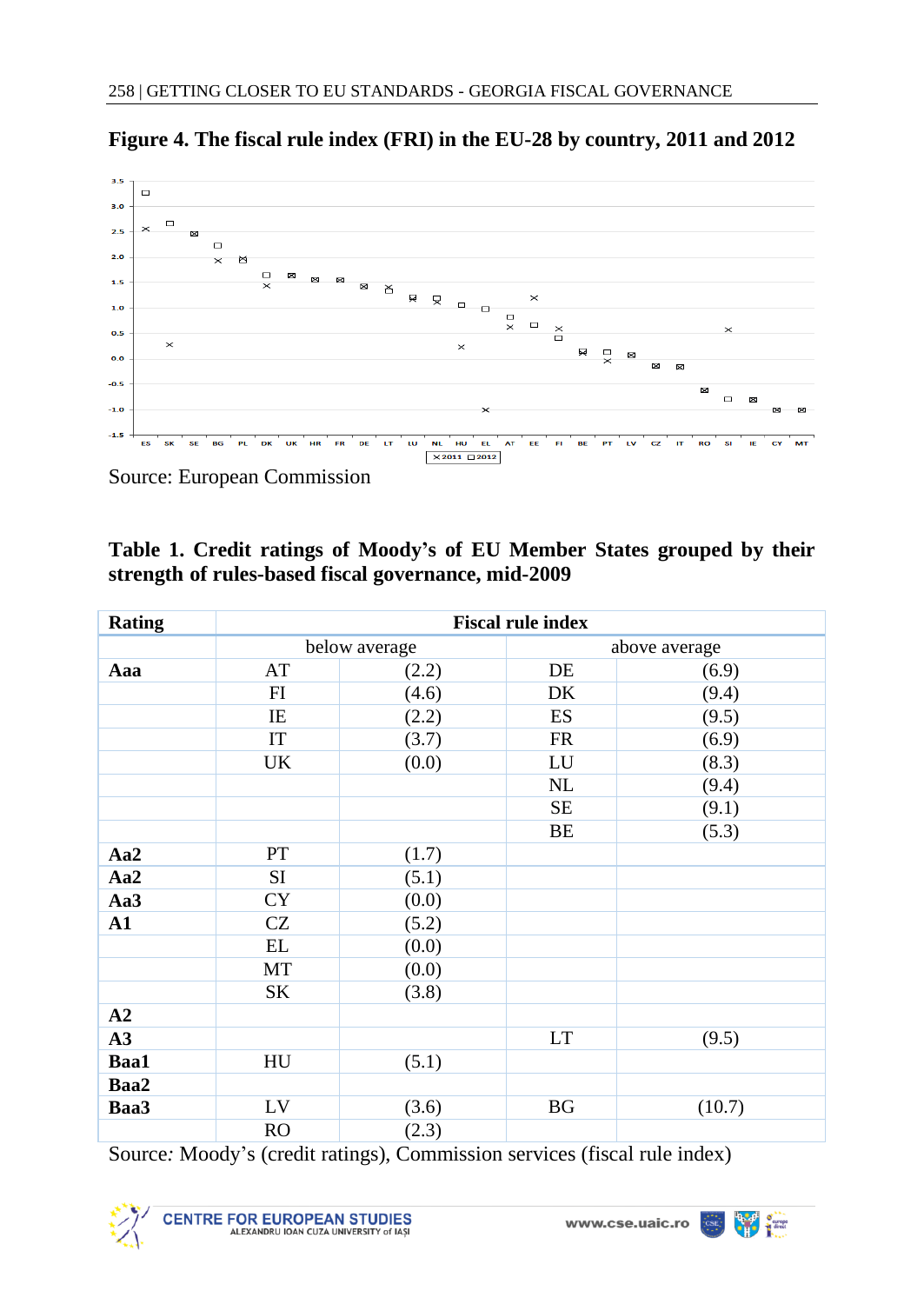

**Figure 4. The fiscal rule index (FRI) in the EU-28 by country, 2011 and 2012**

Source: European Commission

| Table 1. Credit ratings of Moody's of EU Member States grouped by their |  |  |  |  |  |  |  |  |  |  |  |
|-------------------------------------------------------------------------|--|--|--|--|--|--|--|--|--|--|--|
| strength of rules-based fiscal governance, mid-2009                     |  |  |  |  |  |  |  |  |  |  |  |

| <b>Rating</b> | <b>Fiscal rule index</b>   |               |            |               |  |  |  |  |  |  |  |  |  |
|---------------|----------------------------|---------------|------------|---------------|--|--|--|--|--|--|--|--|--|
|               |                            | below average |            | above average |  |  |  |  |  |  |  |  |  |
| Aaa           | AT                         | (2.2)         | DE         | (6.9)         |  |  |  |  |  |  |  |  |  |
|               | FI                         | (4.6)         | DK         | (9.4)         |  |  |  |  |  |  |  |  |  |
|               | IE                         | (2.2)         | ES         | (9.5)         |  |  |  |  |  |  |  |  |  |
|               | $\ensuremath{\mathsf{IT}}$ | (3.7)         | FR         | (6.9)         |  |  |  |  |  |  |  |  |  |
|               | UK                         | (0.0)         | ${\rm LU}$ | (8.3)         |  |  |  |  |  |  |  |  |  |
|               |                            |               | NL         | (9.4)         |  |  |  |  |  |  |  |  |  |
|               |                            |               | SE         | (9.1)         |  |  |  |  |  |  |  |  |  |
|               |                            |               | BE         | (5.3)         |  |  |  |  |  |  |  |  |  |
| Aa2           | PT                         | (1.7)         |            |               |  |  |  |  |  |  |  |  |  |
| Aa2           | SI                         | (5.1)         |            |               |  |  |  |  |  |  |  |  |  |
| Aa3           | <b>CY</b>                  | (0.0)         |            |               |  |  |  |  |  |  |  |  |  |
| ${\bf A1}$    | CZ                         | (5.2)         |            |               |  |  |  |  |  |  |  |  |  |
|               | $\mathbf{EL}$              | (0.0)         |            |               |  |  |  |  |  |  |  |  |  |
|               | MT                         | (0.0)         |            |               |  |  |  |  |  |  |  |  |  |
|               | SK                         | (3.8)         |            |               |  |  |  |  |  |  |  |  |  |
| A2            |                            |               |            |               |  |  |  |  |  |  |  |  |  |
| A3            |                            |               | LT         | (9.5)         |  |  |  |  |  |  |  |  |  |
| Baa1          | HU                         | (5.1)         |            |               |  |  |  |  |  |  |  |  |  |
| Baa2          |                            |               |            |               |  |  |  |  |  |  |  |  |  |
| Baa3          | ${\rm LV}$                 | (3.6)         | BG         | (10.7)        |  |  |  |  |  |  |  |  |  |
|               | RO                         | (2.3)         |            |               |  |  |  |  |  |  |  |  |  |

Source*:* Moody's (credit ratings), Commission services (fiscal rule index)



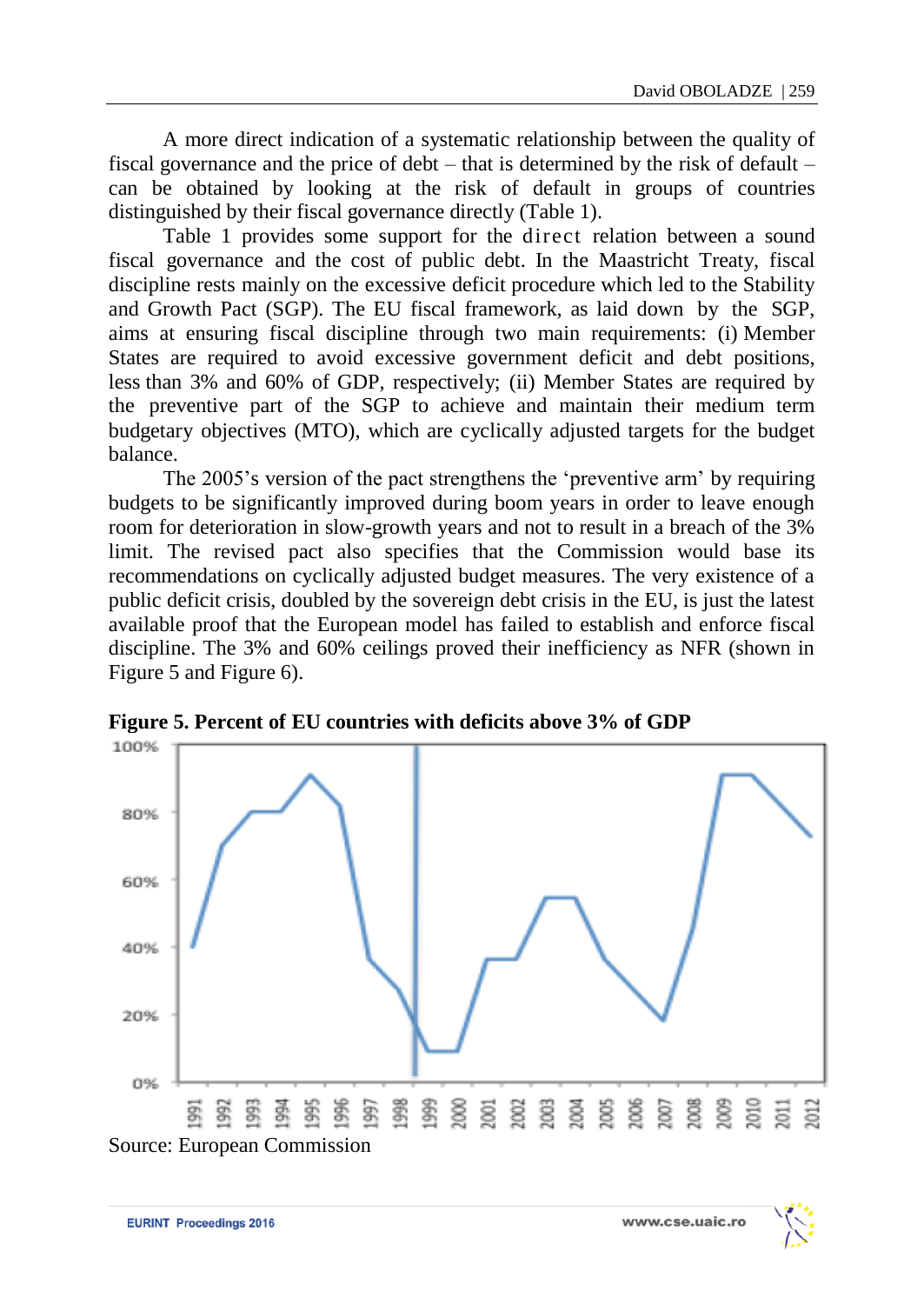A more direct indication of a systematic relationship between the quality of fiscal governance and the price of debt – that is determined by the risk of default – can be obtained by looking at the risk of default in groups of countries distinguished by their fiscal governance directly (Table 1).

Table 1 provides some support for the direct relation between a sound fiscal governance and the cost of public debt. In the Maastricht Treaty, fiscal discipline rests mainly on the excessive deficit procedure which led to the Stability and Growth Pact (SGP). The EU fiscal framework, as laid down by the SGP, aims at ensuring fiscal discipline through two main requirements: (i) Member States are required to avoid excessive government deficit and debt positions, less than 3% and 60% of GDP, respectively; (ii) Member States are required by the preventive part of the SGP to achieve and maintain their medium term budgetary objectives (MTO), which are cyclically adjusted targets for the budget balance.

The 2005's version of the pact strengthens the 'preventive arm' by requiring budgets to be significantly improved during boom years in order to leave enough room for deterioration in slow-growth years and not to result in a breach of the 3% limit. The revised pact also specifies that the Commission would base its recommendations on cyclically adjusted budget measures. The very existence of a public deficit crisis, doubled by the sovereign debt crisis in the EU, is just the latest available proof that the European model has failed to establish and enforce fiscal discipline. The 3% and 60% ceilings proved their inefficiency as NFR (shown in Figure 5 and Figure 6).



**Figure 5. Percent of EU countries with deficits above 3% of GDP**



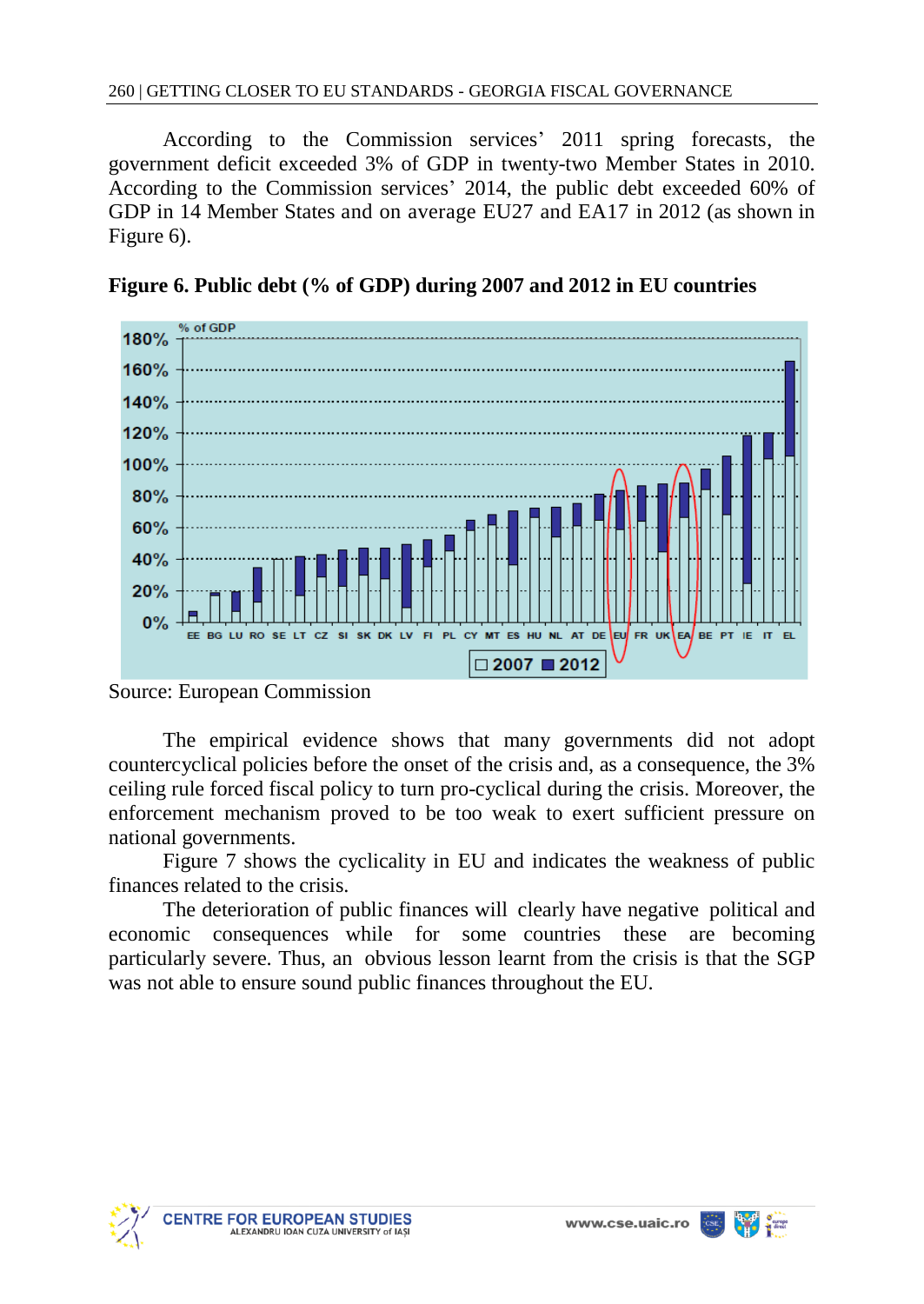According to the Commission services' 2011 spring forecasts, the government deficit exceeded 3% of GDP in twenty-two Member States in 2010. According to the Commission services' 2014, the public debt exceeded 60% of GDP in 14 Member States and on average EU27 and EA17 in 2012 (as shown in Figure 6).



**Figure 6. Public debt (% of GDP) during 2007 and 2012 in EU countries**

The empirical evidence shows that many governments did not adopt countercyclical policies before the onset of the crisis and, as a consequence, the 3% ceiling rule forced fiscal policy to turn pro-cyclical during the crisis. Moreover, the enforcement mechanism proved to be too weak to exert sufficient pressure on national governments.

Figure 7 shows the cyclicality in EU and indicates the weakness of public finances related to the crisis.

The deterioration of public finances will clearly have negative political and economic consequences while for some countries these are becoming particularly severe. Thus, an obvious lesson learnt from the crisis is that the SGP was not able to ensure sound public finances throughout the EU.





Source: European Commission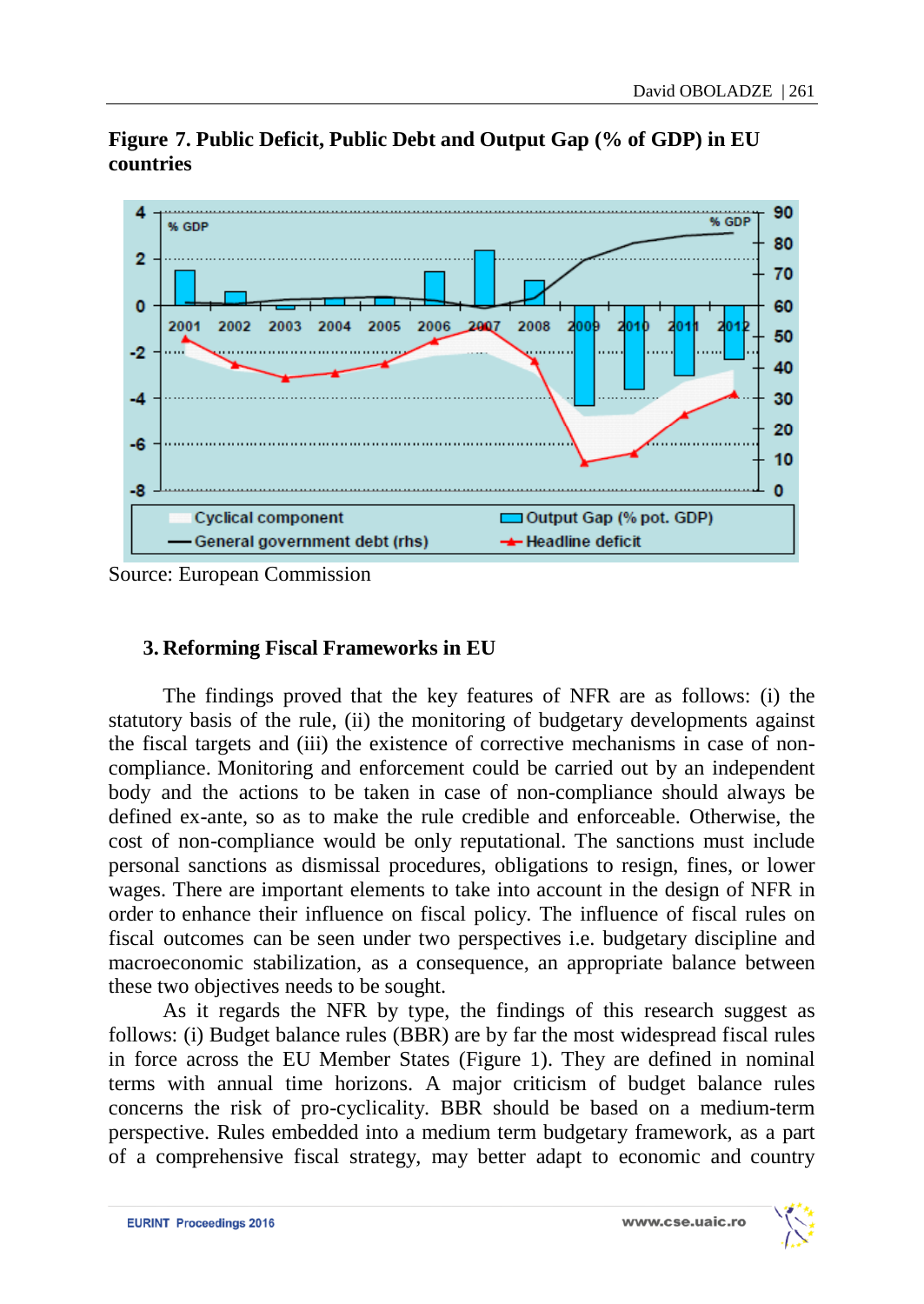

**Figure 7. Public Deficit, Public Debt and Output Gap (% of GDP) in EU countries**

Source: European Commission

# **3. Reforming Fiscal Frameworks in EU**

The findings proved that the key features of NFR are as follows: (i) the statutory basis of the rule, (ii) the monitoring of budgetary developments against the fiscal targets and (iii) the existence of corrective mechanisms in case of noncompliance. Monitoring and enforcement could be carried out by an independent body and the actions to be taken in case of non-compliance should always be defined ex-ante, so as to make the rule credible and enforceable. Otherwise, the cost of non-compliance would be only reputational. The sanctions must include personal sanctions as dismissal procedures, obligations to resign, fines, or lower wages. There are important elements to take into account in the design of NFR in order to enhance their influence on fiscal policy. The influence of fiscal rules on fiscal outcomes can be seen under two perspectives i.e. budgetary discipline and macroeconomic stabilization, as a consequence, an appropriate balance between these two objectives needs to be sought.

As it regards the NFR by type, the findings of this research suggest as follows: (i) Budget balance rules (BBR) are by far the most widespread fiscal rules in force across the EU Member States (Figure 1). They are defined in nominal terms with annual time horizons. A major criticism of budget balance rules concerns the risk of pro-cyclicality. BBR should be based on a medium-term perspective. Rules embedded into a medium term budgetary framework, as a part of a comprehensive fiscal strategy, may better adapt to economic and country

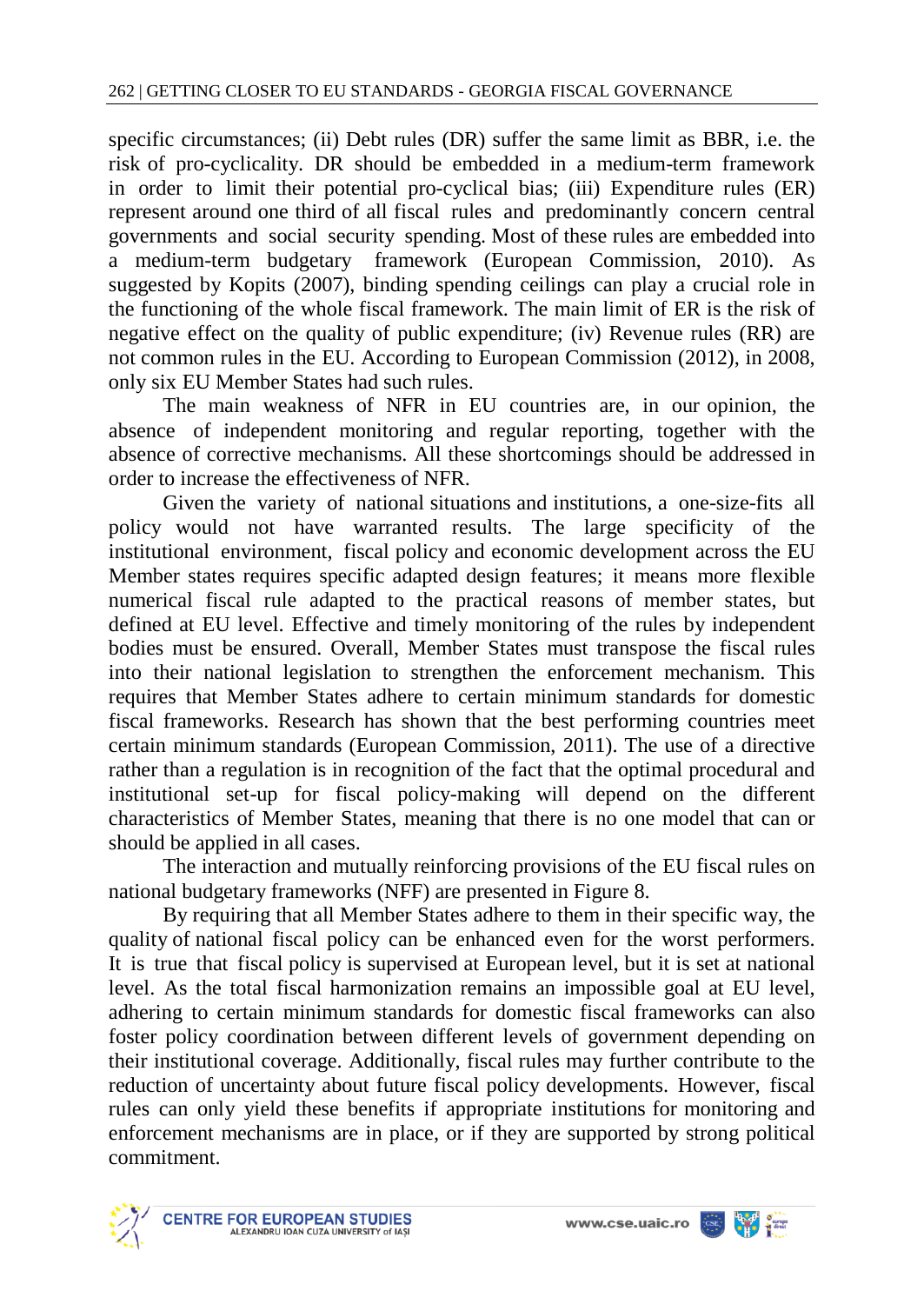specific circumstances; (ii) Debt rules (DR) suffer the same limit as BBR, i.e. the risk of pro-cyclicality. DR should be embedded in a medium-term framework in order to limit their potential pro-cyclical bias; (iii) Expenditure rules (ER) represent around one third of all fiscal rules and predominantly concern central governments and social security spending. Most of these rules are embedded into a medium-term budgetary framework (European Commission, 2010). As suggested by Kopits (2007), binding spending ceilings can play a crucial role in the functioning of the whole fiscal framework. The main limit of ER is the risk of negative effect on the quality of public expenditure; (iv) Revenue rules (RR) are not common rules in the EU. According to European Commission (2012), in 2008, only six EU Member States had such rules.

The main weakness of NFR in EU countries are, in our opinion, the absence of independent monitoring and regular reporting, together with the absence of corrective mechanisms. All these shortcomings should be addressed in order to increase the effectiveness of NFR.

Given the variety of national situations and institutions, a one-size-fits all policy would not have warranted results. The large specificity of the institutional environment, fiscal policy and economic development across the EU Member states requires specific adapted design features; it means more flexible numerical fiscal rule adapted to the practical reasons of member states, but defined at EU level. Effective and timely monitoring of the rules by independent bodies must be ensured. Overall, Member States must transpose the fiscal rules into their national legislation to strengthen the enforcement mechanism. This requires that Member States adhere to certain minimum standards for domestic fiscal frameworks. Research has shown that the best performing countries meet certain minimum standards (European Commission, 2011). The use of a directive rather than a regulation is in recognition of the fact that the optimal procedural and institutional set-up for fiscal policy-making will depend on the different characteristics of Member States, meaning that there is no one model that can or should be applied in all cases.

The interaction and mutually reinforcing provisions of the EU fiscal rules on national budgetary frameworks (NFF) are presented in Figure 8.

By requiring that all Member States adhere to them in their specific way, the quality of national fiscal policy can be enhanced even for the worst performers. It is true that fiscal policy is supervised at European level, but it is set at national level. As the total fiscal harmonization remains an impossible goal at EU level, adhering to certain minimum standards for domestic fiscal frameworks can also foster policy coordination between different levels of government depending on their institutional coverage. Additionally, fiscal rules may further contribute to the reduction of uncertainty about future fiscal policy developments. However, fiscal rules can only yield these benefits if appropriate institutions for monitoring and enforcement mechanisms are in place, or if they are supported by strong political commitment.

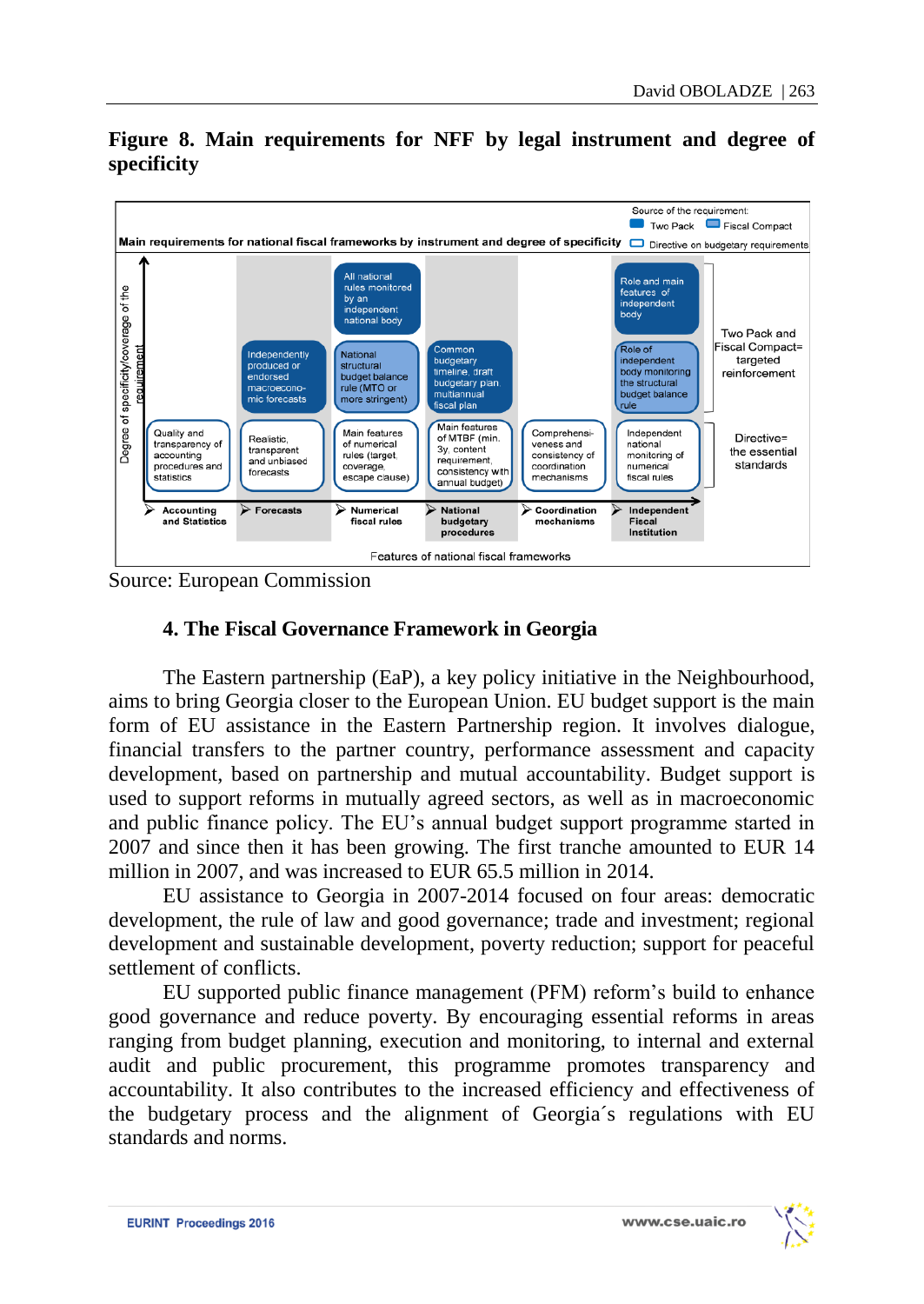

# **Figure 8. Main requirements for NFF by legal instrument and degree of specificity**

Source: European Commission

# **4. The Fiscal Governance Framework in Georgia**

The Eastern partnership (EaP), a key policy initiative in the Neighbourhood, aims to bring Georgia closer to the European Union. EU budget support is the main form of EU assistance in the Eastern Partnership region. It involves dialogue, financial transfers to the partner country, performance assessment and capacity development, based on partnership and mutual accountability. Budget support is used to support reforms in mutually agreed sectors, as well as in macroeconomic and public finance policy. The EU's annual budget support programme started in 2007 and since then it has been growing. The first tranche amounted to EUR 14 million in 2007, and was increased to EUR 65.5 million in 2014.

EU assistance to Georgia in 2007-2014 focused on four areas: democratic development, the rule of law and good governance; trade and investment; regional development and sustainable development, poverty reduction; support for peaceful settlement of conflicts.

EU supported public finance management (PFM) reform's build to enhance good governance and reduce poverty. By encouraging essential reforms in areas ranging from budget planning, execution and monitoring, to internal and external audit and public procurement, this programme promotes transparency and accountability. It also contributes to the increased efficiency and effectiveness of the budgetary process and the alignment of Georgia´s regulations with EU standards and norms.

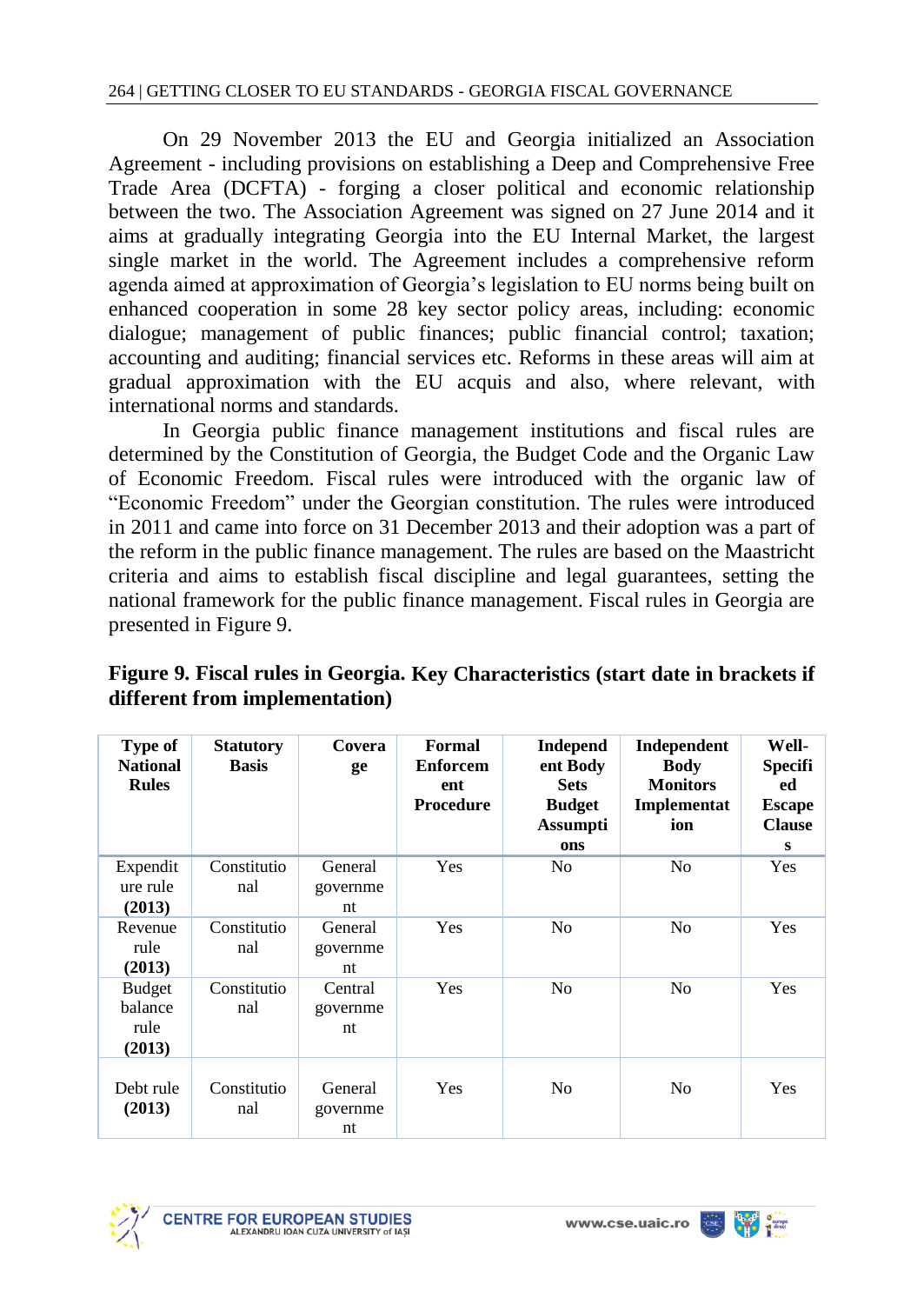On 29 November 2013 the EU and Georgia initialized an Association Agreement - including provisions on establishing a Deep and Comprehensive Free Trade Area (DCFTA) - forging a closer political and economic relationship between the two. The Association Agreement was signed on 27 June 2014 and it aims at gradually integrating Georgia into the EU Internal Market, the largest single market in the world. The Agreement includes a comprehensive reform agenda aimed at approximation of Georgia's legislation to EU norms being built on enhanced cooperation in some 28 key sector policy areas, including: economic dialogue; management of public finances; public financial control; taxation; accounting and auditing; financial services etc. Reforms in these areas will aim at gradual approximation with the EU acquis and also, where relevant, with international norms and standards.

In Georgia public finance management institutions and fiscal rules are determined by the Constitution of Georgia, the Budget Code and the Organic Law of Economic Freedom. Fiscal rules were introduced with the organic law of "Economic Freedom" under the Georgian constitution. The rules were introduced in 2011 and came into force on 31 December 2013 and their adoption was a part of the reform in the public finance management. The rules are based on the Maastricht criteria and aims to establish fiscal discipline and legal guarantees, setting the national framework for the public finance management. Fiscal rules in Georgia are presented in Figure 9.

| Type of<br><b>National</b><br><b>Rules</b> | <b>Statutory</b><br><b>Basis</b> | Covera<br>ge              | Formal<br><b>Enforcem</b><br>ent<br><b>Procedure</b> | Independ<br>ent Body<br><b>Sets</b><br><b>Budget</b><br><b>Assumpti</b><br>ons | Independent<br><b>Body</b><br><b>Monitors</b><br>Implementat<br>ion | Well-<br><b>Specifi</b><br>ed<br><b>Escape</b><br><b>Clause</b><br>S |
|--------------------------------------------|----------------------------------|---------------------------|------------------------------------------------------|--------------------------------------------------------------------------------|---------------------------------------------------------------------|----------------------------------------------------------------------|
| Expendit<br>ure rule<br>(2013)             | Constitutio<br>nal               | General<br>governme<br>nt | Yes                                                  | N <sub>0</sub>                                                                 | N <sub>0</sub>                                                      | Yes                                                                  |
| Revenue<br>rule<br>(2013)                  | Constitutio<br>nal               | General<br>governme<br>nt | Yes                                                  | N <sub>0</sub>                                                                 | N <sub>0</sub>                                                      | Yes                                                                  |
| <b>Budget</b><br>balance<br>rule<br>(2013) | Constitutio<br>nal               | Central<br>governme<br>nt | Yes                                                  | N <sub>0</sub>                                                                 | N <sub>0</sub>                                                      | <b>Yes</b>                                                           |
| Debt rule<br>(2013)                        | Constitutio<br>nal               | General<br>governme<br>nt | Yes                                                  | N <sub>0</sub>                                                                 | N <sub>0</sub>                                                      | <b>Yes</b>                                                           |

**Figure 9. Fiscal rules in Georgia. Key Characteristics (start date in brackets if different from implementation)**



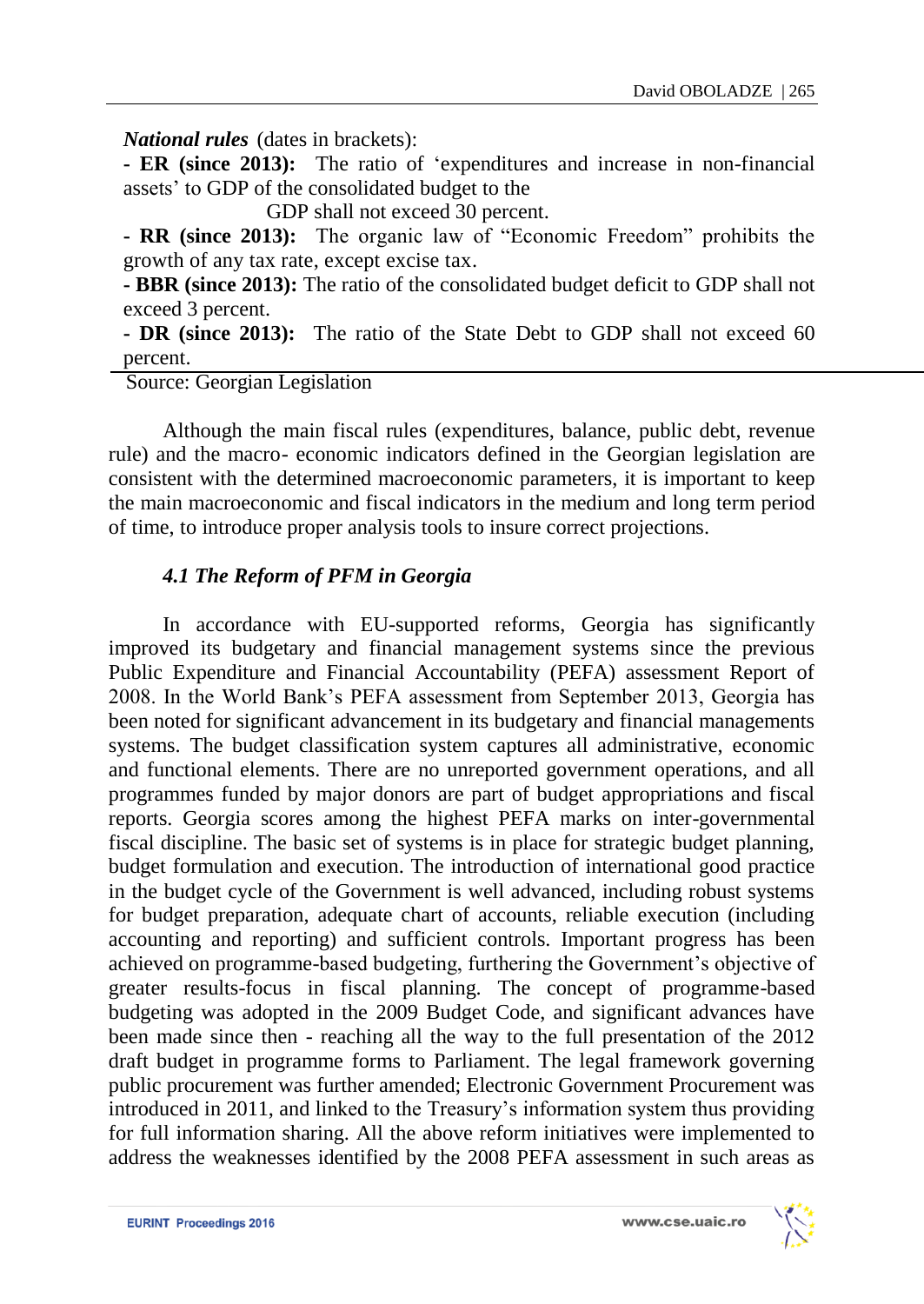*National rules* (dates in brackets):

**- ER (since 2013):** The ratio of 'expenditures and increase in non-financial assets' to GDP of the consolidated budget to the

GDP shall not exceed 30 percent.

**- RR (since 2013):** The organic law of "Economic Freedom" prohibits the growth of any tax rate, except excise tax.

**- BBR (since 2013):** The ratio of the consolidated budget deficit to GDP shall not exceed 3 percent.

**- DR (since 2013):** The ratio of the State Debt to GDP shall not exceed 60 percent.

Source: Georgian Legislation

Although the main fiscal rules (expenditures, balance, public debt, revenue rule) and the macro- economic indicators defined in the Georgian legislation are consistent with the determined macroeconomic parameters, it is important to keep the main macroeconomic and fiscal indicators in the medium and long term period of time, to introduce proper analysis tools to insure correct projections.

# *4.1 The Reform of PFM in Georgia*

In accordance with EU-supported reforms, Georgia has significantly improved its budgetary and financial management systems since the previous Public Expenditure and Financial Accountability (PEFA) assessment Report of 2008. In the World Bank's PEFA assessment from September 2013, Georgia has been noted for significant advancement in its budgetary and financial managements systems. The budget classification system captures all administrative, economic and functional elements. There are no unreported government operations, and all programmes funded by major donors are part of budget appropriations and fiscal reports. Georgia scores among the highest PEFA marks on inter-governmental fiscal discipline. The basic set of systems is in place for strategic budget planning, budget formulation and execution. The introduction of international good practice in the budget cycle of the Government is well advanced, including robust systems for budget preparation, adequate chart of accounts, reliable execution (including accounting and reporting) and sufficient controls. Important progress has been achieved on programme-based budgeting, furthering the Government's objective of greater results-focus in fiscal planning. The concept of programme-based budgeting was adopted in the 2009 Budget Code, and significant advances have been made since then - reaching all the way to the full presentation of the 2012 draft budget in programme forms to Parliament. The legal framework governing public procurement was further amended; Electronic Government Procurement was introduced in 2011, and linked to the Treasury's information system thus providing for full information sharing. All the above reform initiatives were implemented to address the weaknesses identified by the 2008 PEFA assessment in such areas as

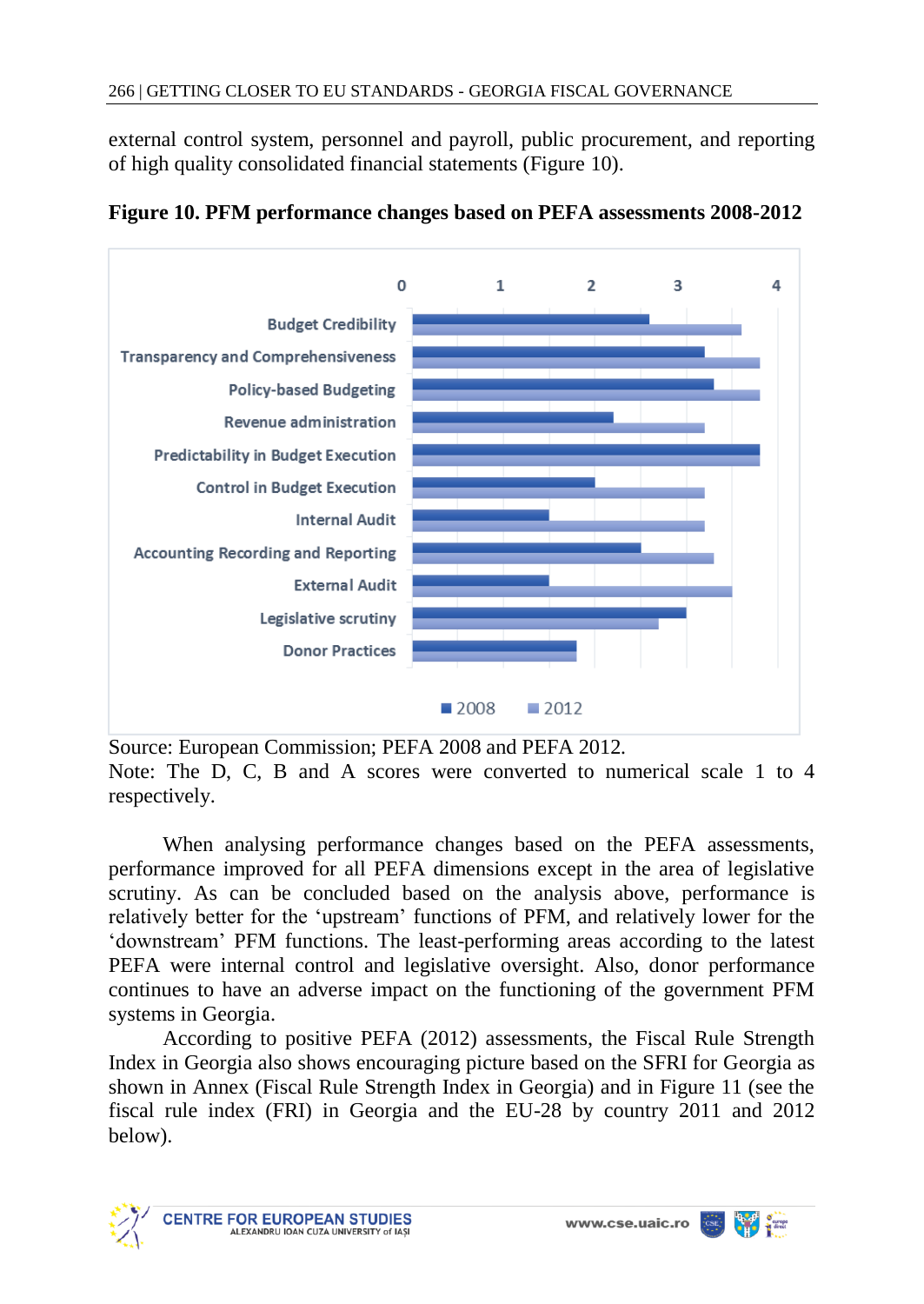external control system, personnel and payroll, public procurement, and reporting of high quality consolidated financial statements (Figure 10).



**Figure 10. PFM performance changes based on PEFA assessments 2008-2012**

Source: European Commission; PEFA 2008 and PEFA 2012*.* Note: The D, C, B and A scores were converted to numerical scale 1 to 4 respectively.

When analysing performance changes based on the PEFA assessments, performance improved for all PEFA dimensions except in the area of legislative scrutiny. As can be concluded based on the analysis above, performance is relatively better for the 'upstream' functions of PFM, and relatively lower for the 'downstream' PFM functions. The least-performing areas according to the latest PEFA were internal control and legislative oversight. Also, donor performance continues to have an adverse impact on the functioning of the government PFM systems in Georgia.

According to positive PEFA (2012) assessments, the Fiscal Rule Strength Index in Georgia also shows encouraging picture based on the SFRI for Georgia as shown in Annex (Fiscal Rule Strength Index in Georgia) and in Figure 11 (see the fiscal rule index (FRI) in Georgia and the EU-28 by country 2011 and 2012 below).

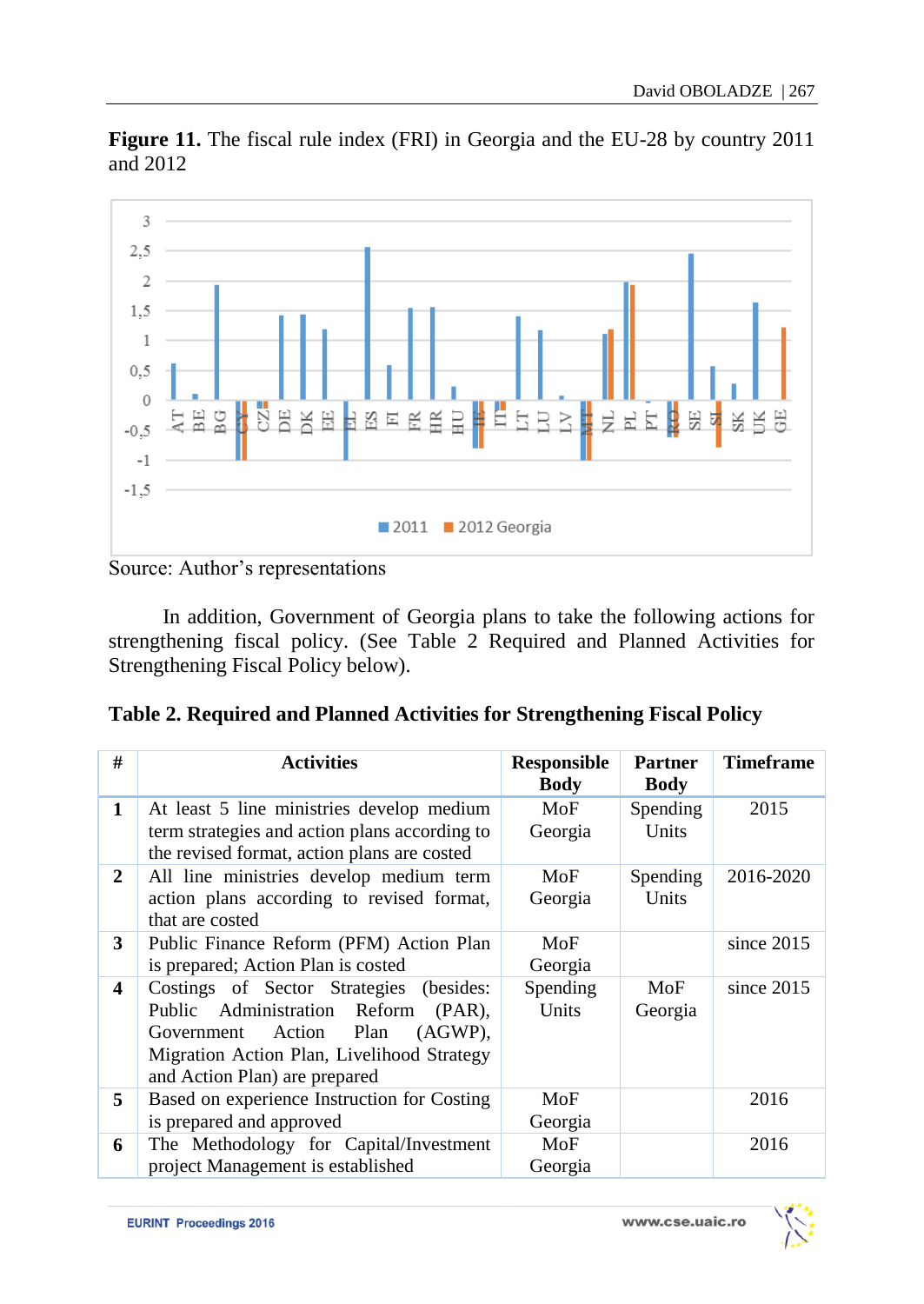**Figure 11.** The fiscal rule index (FRI) in Georgia and the EU-28 by country 2011 and 2012



Source: Author's representations

In addition, Government of Georgia plans to take the following actions for strengthening fiscal policy. (See Table 2 Required and Planned Activities for Strengthening Fiscal Policy below).

| Table 2. Required and Planned Activities for Strengthening Fiscal Policy |  |  |  |  |  |  |
|--------------------------------------------------------------------------|--|--|--|--|--|--|
|--------------------------------------------------------------------------|--|--|--|--|--|--|

| #            | <b>Activities</b>                                                                                                                                                                                           | <b>Responsible</b><br>Body | <b>Partner</b><br><b>Body</b> | <b>Timeframe</b> |
|--------------|-------------------------------------------------------------------------------------------------------------------------------------------------------------------------------------------------------------|----------------------------|-------------------------------|------------------|
| 1            | At least 5 line ministries develop medium<br>term strategies and action plans according to<br>the revised format, action plans are costed                                                                   | MoF<br>Georgia             | Spending<br>Units             | 2015             |
| $\mathbf{2}$ | All line ministries develop medium term<br>action plans according to revised format,<br>that are costed                                                                                                     | MoF<br>Georgia             | <b>Spending</b><br>Units      | 2016-2020        |
| 3            | Public Finance Reform (PFM) Action Plan<br>is prepared; Action Plan is costed                                                                                                                               | MoF<br>Georgia             |                               | since $2015$     |
| 4            | Costings of Sector Strategies (besides:<br>Public Administration Reform<br>$(PAR)$ .<br>$(AGWP)$ ,<br>Government Action Plan<br>Migration Action Plan, Livelihood Strategy<br>and Action Plan) are prepared | Spending<br>Units          | MoF<br>Georgia                | since $2015$     |
| 5            | Based on experience Instruction for Costing<br>is prepared and approved                                                                                                                                     | MoF<br>Georgia             |                               | 2016             |
| 6            | The Methodology for Capital/Investment<br>project Management is established                                                                                                                                 | MoF<br>Georgia             |                               | 2016             |

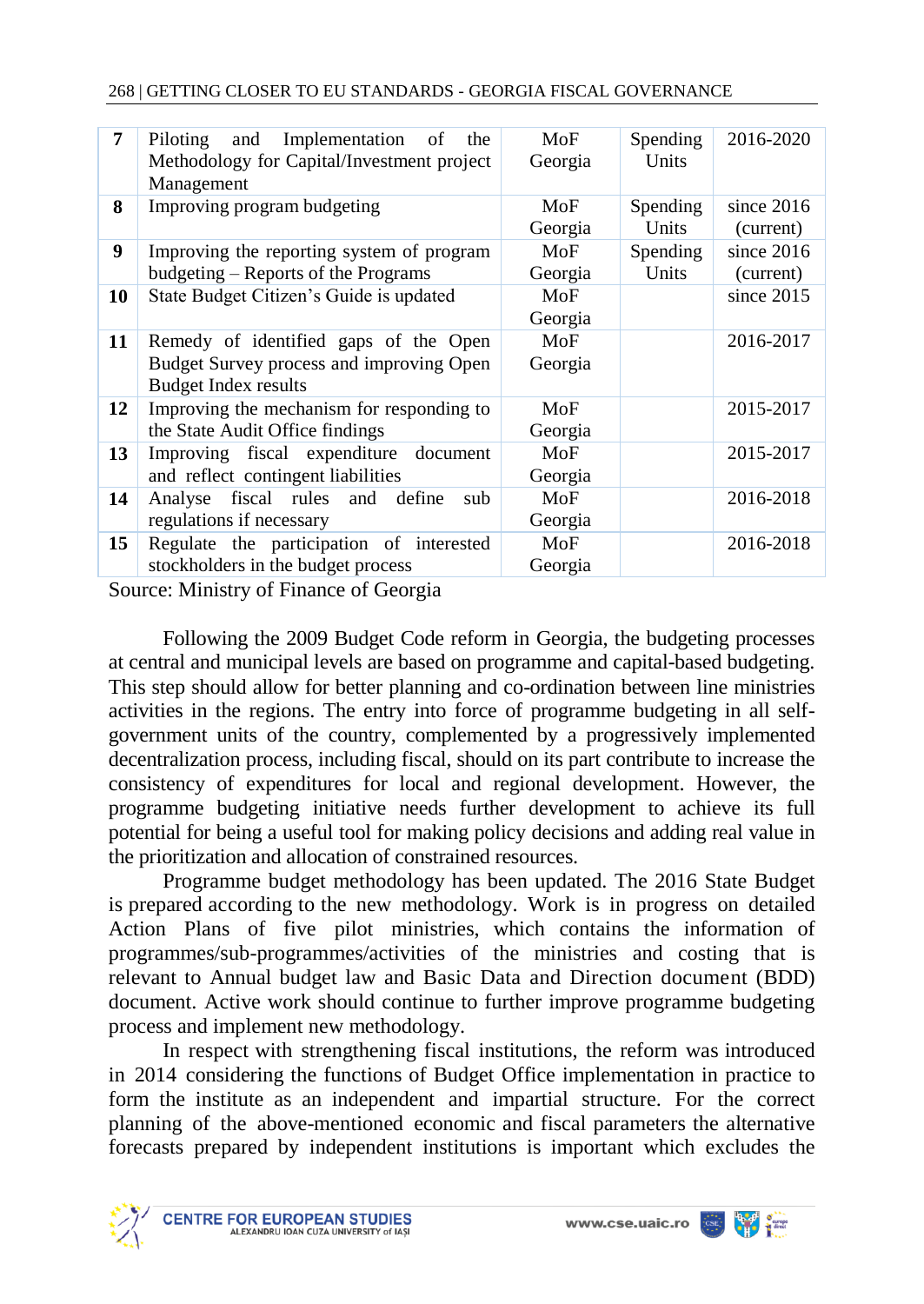| 7  | Implementation<br>Piloting<br>and<br>of<br>the<br>Methodology for Capital/Investment project<br>Management       | MoF<br>Georgia | <b>Spending</b><br>Units | 2016-2020                 |
|----|------------------------------------------------------------------------------------------------------------------|----------------|--------------------------|---------------------------|
| 8  | Improving program budgeting                                                                                      | MoF<br>Georgia | Spending<br>Units        | since $2016$<br>(current) |
| 9  | Improving the reporting system of program<br>budgeting – Reports of the Programs                                 | MoF<br>Georgia | Spending<br>Units        | since $2016$<br>(current) |
| 10 | State Budget Citizen's Guide is updated                                                                          | MoF<br>Georgia |                          | since $2015$              |
| 11 | Remedy of identified gaps of the Open<br>Budget Survey process and improving Open<br><b>Budget Index results</b> | MoF<br>Georgia |                          | 2016-2017                 |
| 12 | Improving the mechanism for responding to<br>the State Audit Office findings                                     | MoF<br>Georgia |                          | 2015-2017                 |
| 13 | Improving fiscal expenditure<br>document<br>and reflect contingent liabilities                                   | MoF<br>Georgia |                          | 2015-2017                 |
| 14 | fiscal rules and define<br>Analyse<br>sub<br>regulations if necessary                                            | MoF<br>Georgia |                          | 2016-2018                 |
| 15 | Regulate the participation of interested<br>stockholders in the budget process                                   | MoF<br>Georgia |                          | 2016-2018                 |

Source: Ministry of Finance of Georgia

Following the 2009 Budget Code reform in Georgia, the budgeting processes at central and municipal levels are based on programme and capital-based budgeting. This step should allow for better planning and co-ordination between line ministries activities in the regions. The entry into force of programme budgeting in all selfgovernment units of the country, complemented by a progressively implemented decentralization process, including fiscal, should on its part contribute to increase the consistency of expenditures for local and regional development. However, the programme budgeting initiative needs further development to achieve its full potential for being a useful tool for making policy decisions and adding real value in the prioritization and allocation of constrained resources.

Programme budget methodology has been updated. The 2016 State Budget is prepared according to the new methodology. Work is in progress on detailed Action Plans of five pilot ministries, which contains the information of programmes/sub-programmes/activities of the ministries and costing that is relevant to Annual budget law and Basic Data and Direction document (BDD) document. Active work should continue to further improve programme budgeting process and implement new methodology.

In respect with strengthening fiscal institutions, the reform was introduced in 2014 considering the functions of Budget Office implementation in practice to form the institute as an independent and impartial structure. For the correct planning of the above-mentioned economic and fiscal parameters the alternative forecasts prepared by independent institutions is important which excludes the

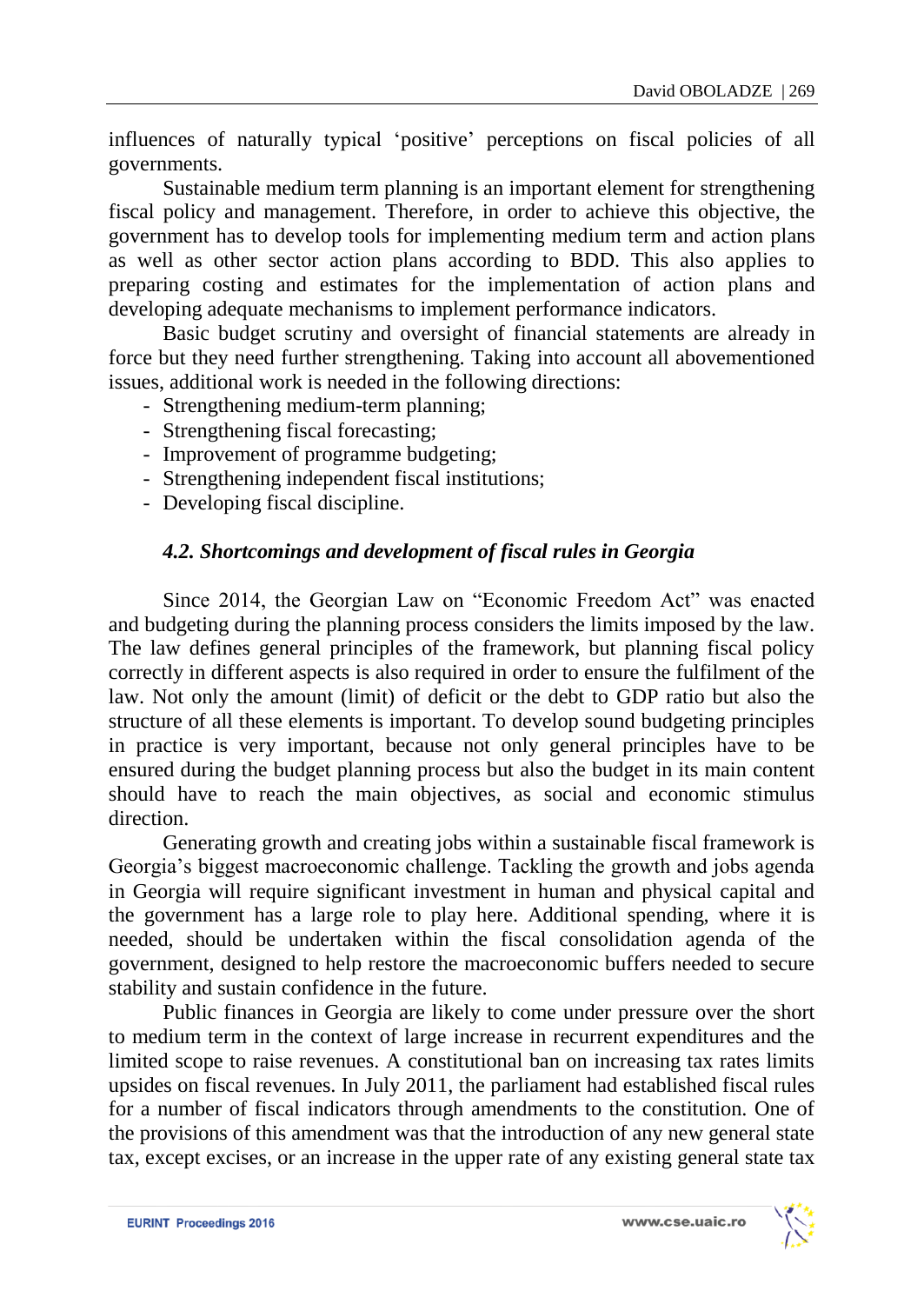influences of naturally typical 'positive' perceptions on fiscal policies of all governments.

Sustainable medium term planning is an important element for strengthening fiscal policy and management. Therefore, in order to achieve this objective, the government has to develop tools for implementing medium term and action plans as well as other sector action plans according to BDD. This also applies to preparing costing and estimates for the implementation of action plans and developing adequate mechanisms to implement performance indicators.

Basic budget scrutiny and oversight of financial statements are already in force but they need further strengthening. Taking into account all abovementioned issues, additional work is needed in the following directions:

- Strengthening medium-term planning;
- Strengthening fiscal forecasting;
- Improvement of programme budgeting;
- Strengthening independent fiscal institutions;
- Developing fiscal discipline.

### *4.2. Shortcomings and development of fiscal rules in Georgia*

Since 2014, the Georgian Law on "Economic Freedom Act" was enacted and budgeting during the planning process considers the limits imposed by the law. The law defines general principles of the framework, but planning fiscal policy correctly in different aspects is also required in order to ensure the fulfilment of the law. Not only the amount (limit) of deficit or the debt to GDP ratio but also the structure of all these elements is important. To develop sound budgeting principles in practice is very important, because not only general principles have to be ensured during the budget planning process but also the budget in its main content should have to reach the main objectives, as social and economic stimulus direction.

Generating growth and creating jobs within a sustainable fiscal framework is Georgia's biggest macroeconomic challenge. Tackling the growth and jobs agenda in Georgia will require significant investment in human and physical capital and the government has a large role to play here. Additional spending, where it is needed, should be undertaken within the fiscal consolidation agenda of the government, designed to help restore the macroeconomic buffers needed to secure stability and sustain confidence in the future.

Public finances in Georgia are likely to come under pressure over the short to medium term in the context of large increase in recurrent expenditures and the limited scope to raise revenues. A constitutional ban on increasing tax rates limits upsides on fiscal revenues. In July 2011, the parliament had established fiscal rules for a number of fiscal indicators through amendments to the constitution. One of the provisions of this amendment was that the introduction of any new general state tax, except excises, or an increase in the upper rate of any existing general state tax

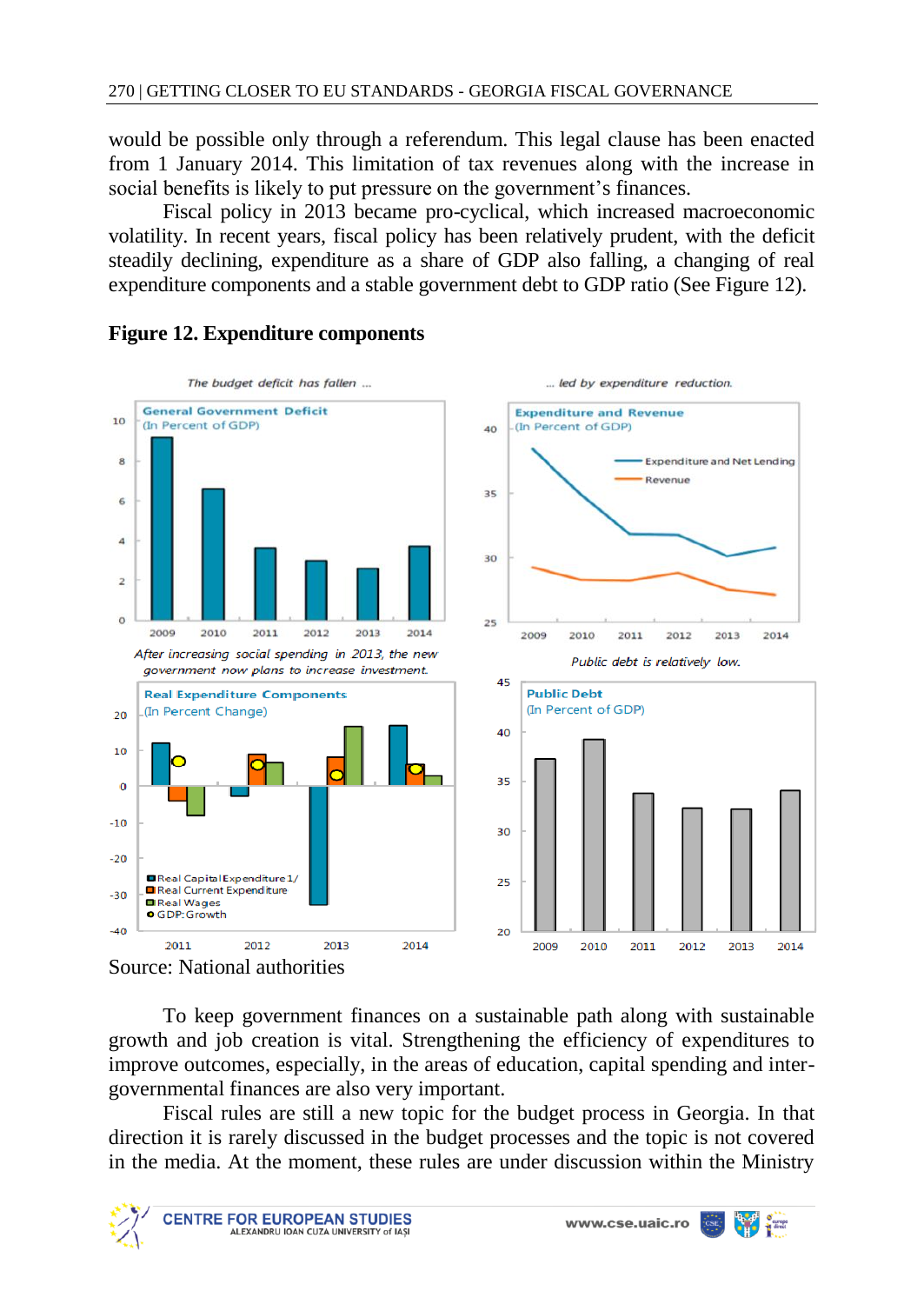would be possible only through a referendum. This legal clause has been enacted from 1 January 2014. This limitation of tax revenues along with the increase in social benefits is likely to put pressure on the government's finances.

Fiscal policy in 2013 became pro-cyclical, which increased macroeconomic volatility. In recent years, fiscal policy has been relatively prudent, with the deficit steadily declining, expenditure as a share of GDP also falling, a changing of real expenditure components and a stable government debt to GDP ratio (See Figure 12).



### **Figure 12. Expenditure components**

Source: National authorities

To keep government finances on a sustainable path along with sustainable growth and job creation is vital. Strengthening the efficiency of expenditures to improve outcomes, especially, in the areas of education, capital spending and intergovernmental finances are also very important.

Fiscal rules are still a new topic for the budget process in Georgia. In that direction it is rarely discussed in the budget processes and the topic is not covered in the media. At the moment, these rules are under discussion within the Ministry

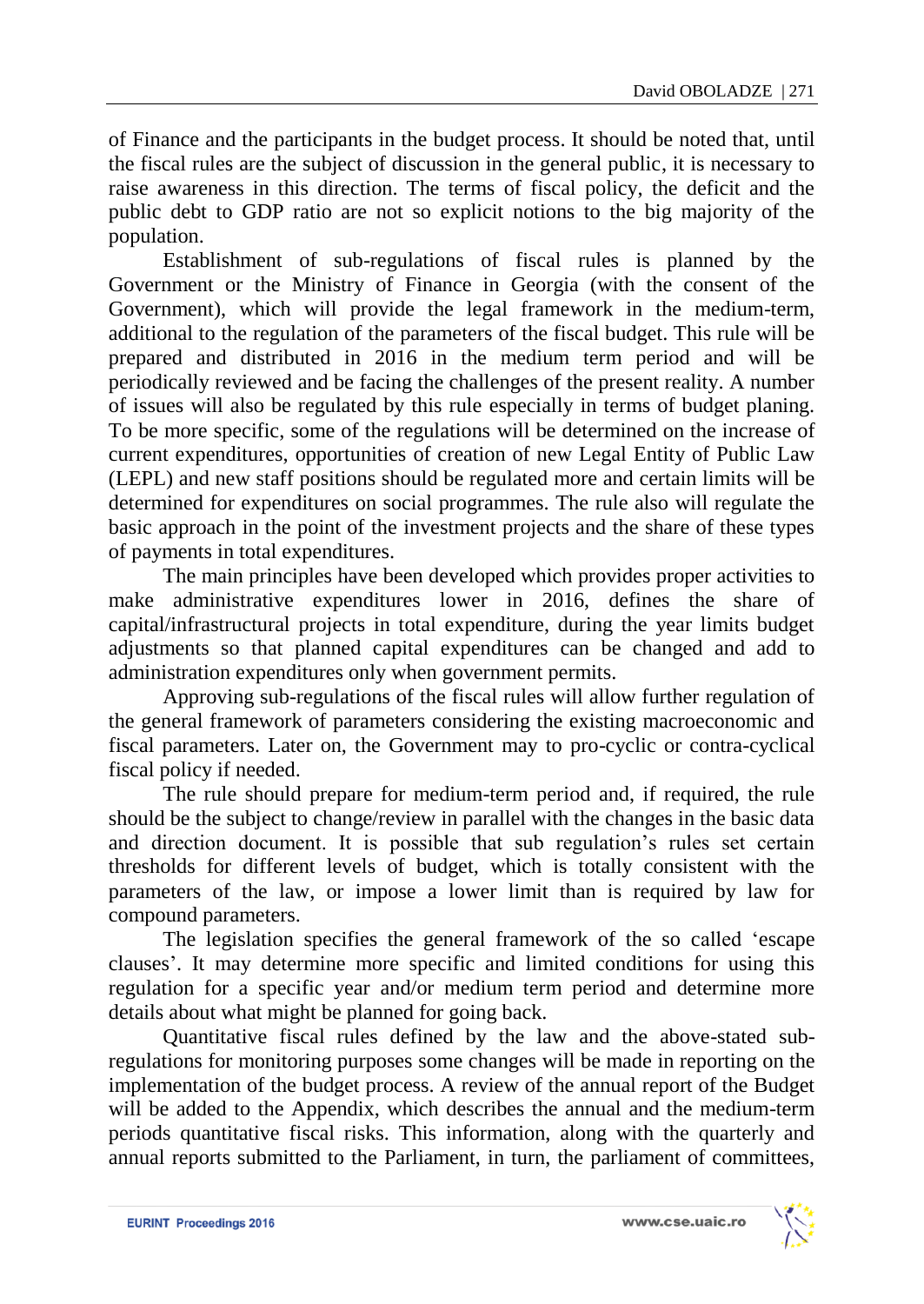of Finance and the participants in the budget process. It should be noted that, until the fiscal rules are the subject of discussion in the general public, it is necessary to raise awareness in this direction. The terms of fiscal policy, the deficit and the public debt to GDP ratio are not so explicit notions to the big majority of the population.

Establishment of sub-regulations of fiscal rules is planned by the Government or the Ministry of Finance in Georgia (with the consent of the Government), which will provide the legal framework in the medium-term, additional to the regulation of the parameters of the fiscal budget. This rule will be prepared and distributed in 2016 in the medium term period and will be periodically reviewed and be facing the challenges of the present reality. A number of issues will also be regulated by this rule especially in terms of budget planing. To be more specific, some of the regulations will be determined on the increase of current expenditures, opportunities of creation of new Legal Entity of Public Law (LEPL) and new staff positions should be regulated more and certain limits will be determined for expenditures on social programmes. The rule also will regulate the basic approach in the point of the investment projects and the share of these types of payments in total expenditures.

The main principles have been developed which provides proper activities to make administrative expenditures lower in 2016, defines the share of capital/infrastructural projects in total expenditure, during the year limits budget adjustments so that planned capital expenditures can be changed and add to administration expenditures only when government permits.

Approving sub-regulations of the fiscal rules will allow further regulation of the general framework of parameters considering the existing macroeconomic and fiscal parameters. Later on, the Government may to pro-cyclic or contra-cyclical fiscal policy if needed.

The rule should prepare for medium-term period and, if required, the rule should be the subject to change/review in parallel with the changes in the basic data and direction document. It is possible that sub regulation's rules set certain thresholds for different levels of budget, which is totally consistent with the parameters of the law, or impose a lower limit than is required by law for compound parameters.

The legislation specifies the general framework of the so called 'escape clauses'. It may determine more specific and limited conditions for using this regulation for a specific year and/or medium term period and determine more details about what might be planned for going back.

Quantitative fiscal rules defined by the law and the above-stated subregulations for monitoring purposes some changes will be made in reporting on the implementation of the budget process. A review of the annual report of the Budget will be added to the Appendix, which describes the annual and the medium-term periods quantitative fiscal risks. This information, along with the quarterly and annual reports submitted to the Parliament, in turn, the parliament of committees,

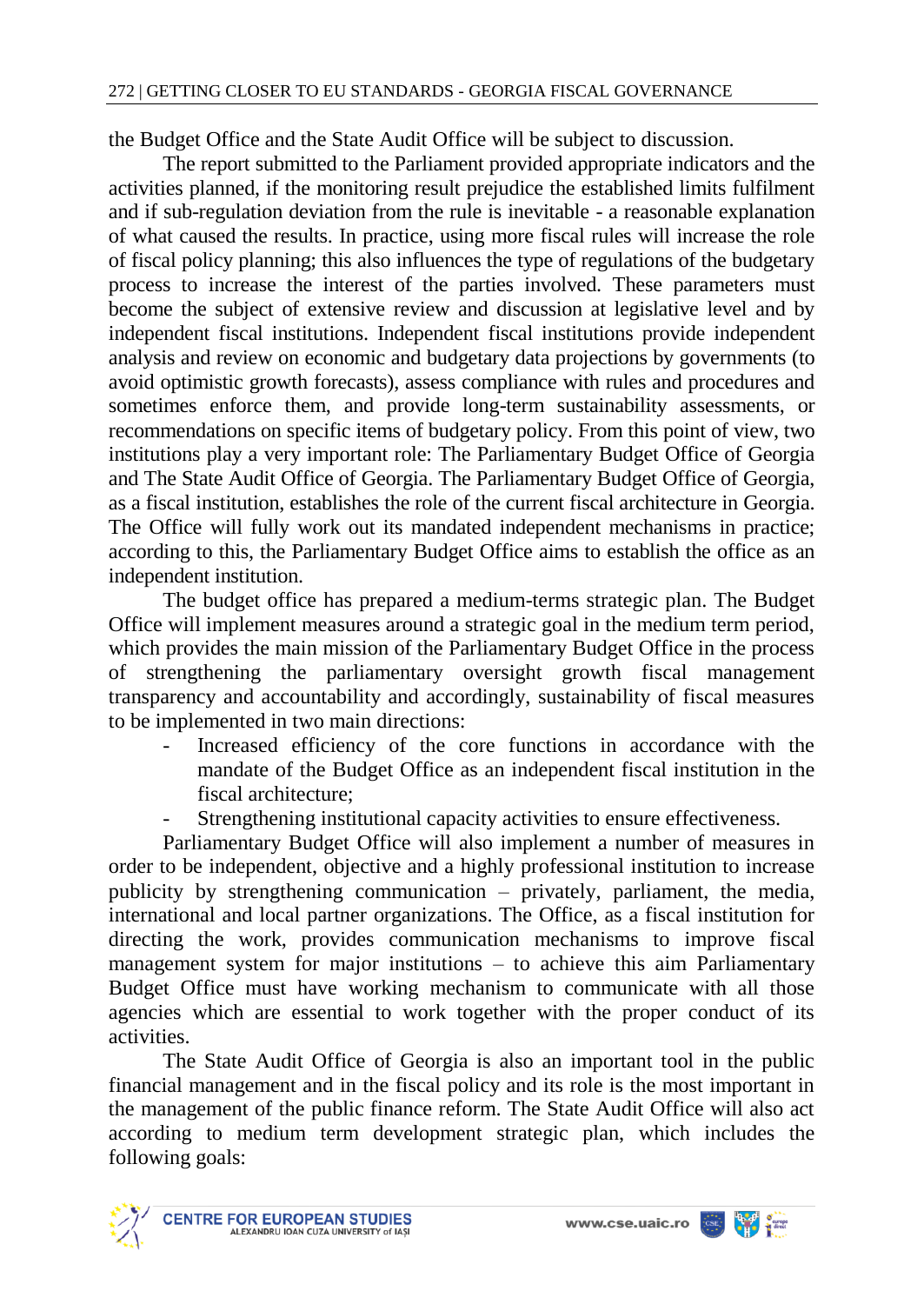the Budget Office and the State Audit Office will be subject to discussion.

The report submitted to the Parliament provided appropriate indicators and the activities planned, if the monitoring result prejudice the established limits fulfilment and if sub-regulation deviation from the rule is inevitable - a reasonable explanation of what caused the results. In practice, using more fiscal rules will increase the role of fiscal policy planning; this also influences the type of regulations of the budgetary process to increase the interest of the parties involved. These parameters must become the subject of extensive review and discussion at legislative level and by independent fiscal institutions. Independent fiscal institutions provide independent analysis and review on economic and budgetary data projections by governments (to avoid optimistic growth forecasts), assess compliance with rules and procedures and sometimes enforce them, and provide long-term sustainability assessments, or recommendations on specific items of budgetary policy. From this point of view, two institutions play a very important role: The Parliamentary Budget Office of Georgia and The State Audit Office of Georgia. The Parliamentary Budget Office of Georgia, as a fiscal institution, establishes the role of the current fiscal architecture in Georgia. The Office will fully work out its mandated independent mechanisms in practice; according to this, the Parliamentary Budget Office aims to establish the office as an independent institution.

The budget office has prepared a medium-terms strategic plan. The Budget Office will implement measures around a strategic goal in the medium term period, which provides the main mission of the Parliamentary Budget Office in the process of strengthening the parliamentary oversight growth fiscal management transparency and accountability and accordingly, sustainability of fiscal measures to be implemented in two main directions:

- Increased efficiency of the core functions in accordance with the mandate of the Budget Office as an independent fiscal institution in the fiscal architecture;
- Strengthening institutional capacity activities to ensure effectiveness.

Parliamentary Budget Office will also implement a number of measures in order to be independent, objective and a highly professional institution to increase publicity by strengthening communication – privately, parliament, the media, international and local partner organizations. The Office, as a fiscal institution for directing the work, provides communication mechanisms to improve fiscal management system for major institutions – to achieve this aim Parliamentary Budget Office must have working mechanism to communicate with all those agencies which are essential to work together with the proper conduct of its activities.

The State Audit Office of Georgia is also an important tool in the public financial management and in the fiscal policy and its role is the most important in the management of the public finance reform. The State Audit Office will also act according to medium term development strategic plan, which includes the following goals:

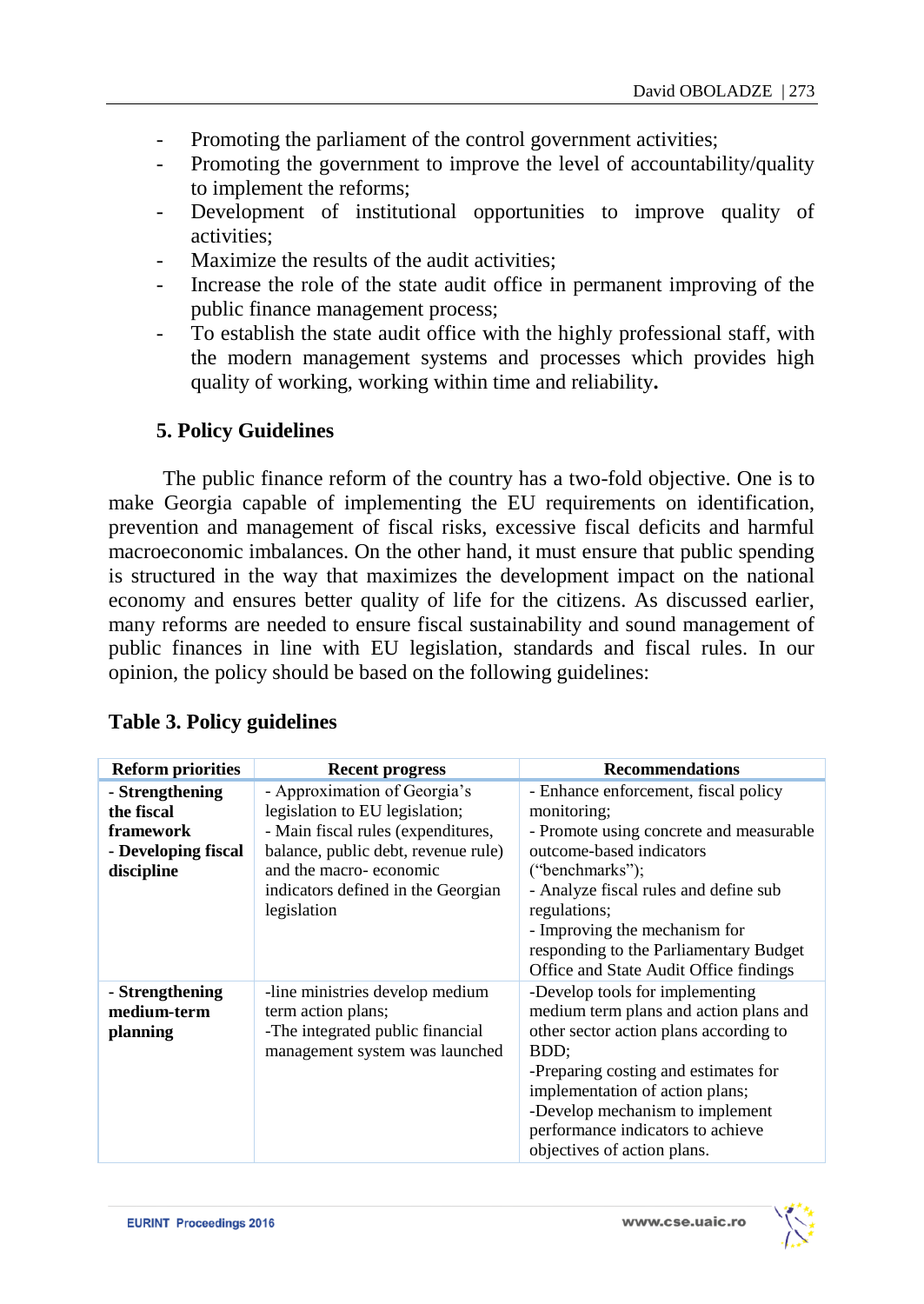- Promoting the parliament of the control government activities;
- Promoting the government to improve the level of accountability/quality to implement the reforms;
- Development of institutional opportunities to improve quality of activities;
- Maximize the results of the audit activities:
- Increase the role of the state audit office in permanent improving of the public finance management process;
- To establish the state audit office with the highly professional staff, with the modern management systems and processes which provides high quality of working, working within time and reliability**.**

# **5. Policy Guidelines**

The public finance reform of the country has a two-fold objective. One is to make Georgia capable of implementing the EU requirements on identification, prevention and management of fiscal risks, excessive fiscal deficits and harmful macroeconomic imbalances. On the other hand, it must ensure that public spending is structured in the way that maximizes the development impact on the national economy and ensures better quality of life for the citizens. As discussed earlier, many reforms are needed to ensure fiscal sustainability and sound management of public finances in line with EU legislation, standards and fiscal rules. In our opinion, the policy should be based on the following guidelines:

| <b>Reform priorities</b>                                                        | <b>Recent progress</b>                                                                                                                                                                                                     | <b>Recommendations</b>                                                                                                                                                                                                                                                                                                      |
|---------------------------------------------------------------------------------|----------------------------------------------------------------------------------------------------------------------------------------------------------------------------------------------------------------------------|-----------------------------------------------------------------------------------------------------------------------------------------------------------------------------------------------------------------------------------------------------------------------------------------------------------------------------|
| - Strengthening<br>the fiscal<br>framework<br>- Developing fiscal<br>discipline | - Approximation of Georgia's<br>legislation to EU legislation;<br>- Main fiscal rules (expenditures,<br>balance, public debt, revenue rule)<br>and the macro-economic<br>indicators defined in the Georgian<br>legislation | - Enhance enforcement, fiscal policy<br>monitoring;<br>- Promote using concrete and measurable<br>outcome-based indicators<br>("benchmarks");<br>- Analyze fiscal rules and define sub<br>regulations;<br>- Improving the mechanism for<br>responding to the Parliamentary Budget<br>Office and State Audit Office findings |
| - Strengthening<br>medium-term<br>planning                                      | -line ministries develop medium<br>term action plans;<br>-The integrated public financial<br>management system was launched                                                                                                | -Develop tools for implementing<br>medium term plans and action plans and<br>other sector action plans according to<br>BDD:<br>-Preparing costing and estimates for<br>implementation of action plans;<br>-Develop mechanism to implement<br>performance indicators to achieve<br>objectives of action plans.               |

# **Table 3. Policy guidelines**

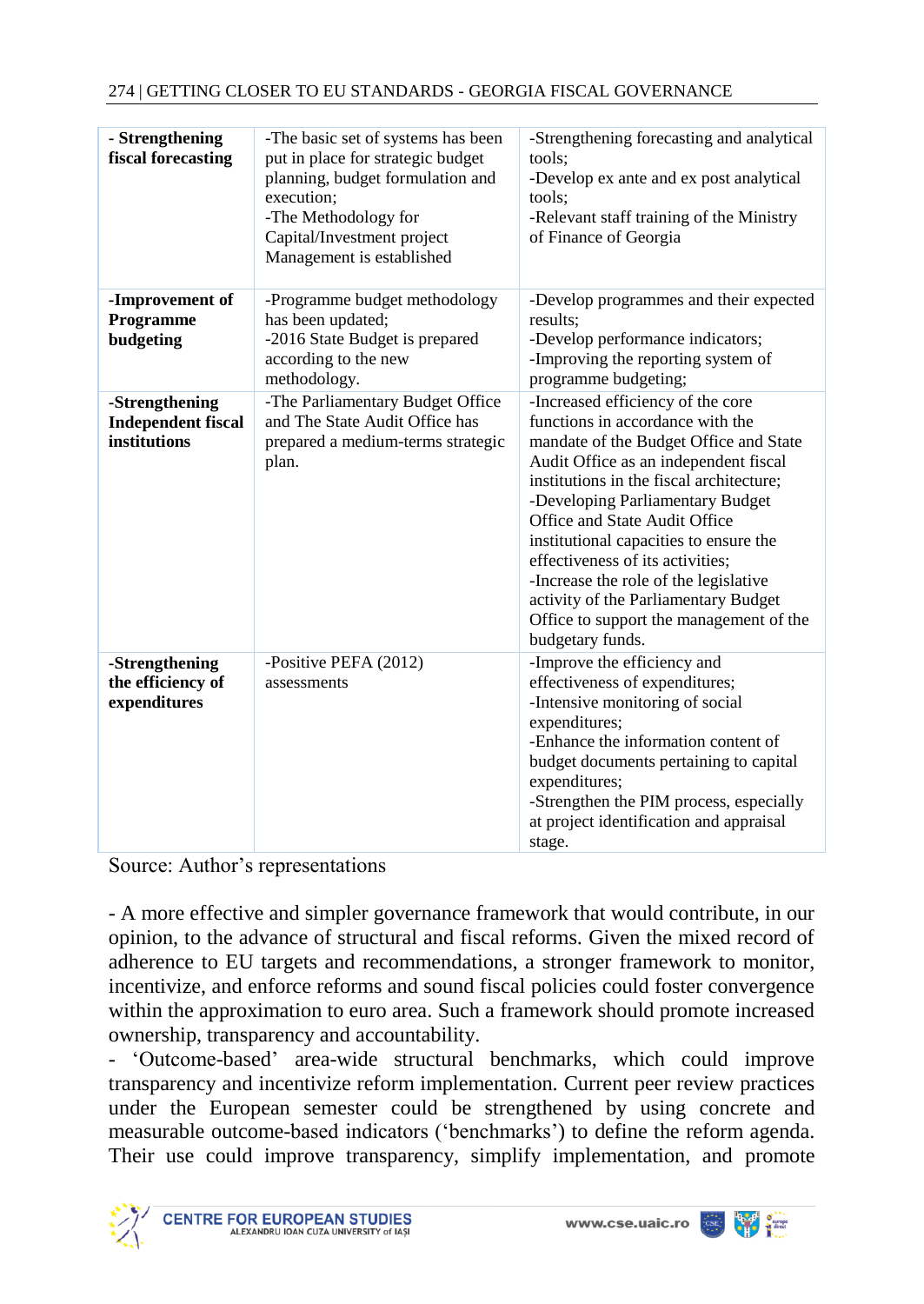| - Strengthening<br>fiscal forecasting                       | -The basic set of systems has been<br>put in place for strategic budget<br>planning, budget formulation and<br>execution;<br>-The Methodology for<br>Capital/Investment project<br>Management is established | -Strengthening forecasting and analytical<br>tools:<br>-Develop ex ante and ex post analytical<br>tools:<br>-Relevant staff training of the Ministry<br>of Finance of Georgia                                                                                                                                                                                                                                                                                                                           |
|-------------------------------------------------------------|--------------------------------------------------------------------------------------------------------------------------------------------------------------------------------------------------------------|---------------------------------------------------------------------------------------------------------------------------------------------------------------------------------------------------------------------------------------------------------------------------------------------------------------------------------------------------------------------------------------------------------------------------------------------------------------------------------------------------------|
| -Improvement of<br>Programme<br>budgeting                   | -Programme budget methodology<br>has been updated;<br>-2016 State Budget is prepared<br>according to the new<br>methodology.                                                                                 | -Develop programmes and their expected<br>results:<br>-Develop performance indicators;<br>-Improving the reporting system of<br>programme budgeting;                                                                                                                                                                                                                                                                                                                                                    |
| -Strengthening<br><b>Independent fiscal</b><br>institutions | -The Parliamentary Budget Office<br>and The State Audit Office has<br>prepared a medium-terms strategic<br>plan.                                                                                             | -Increased efficiency of the core<br>functions in accordance with the<br>mandate of the Budget Office and State<br>Audit Office as an independent fiscal<br>institutions in the fiscal architecture;<br>-Developing Parliamentary Budget<br>Office and State Audit Office<br>institutional capacities to ensure the<br>effectiveness of its activities;<br>-Increase the role of the legislative<br>activity of the Parliamentary Budget<br>Office to support the management of the<br>budgetary funds. |
| -Strengthening<br>the efficiency of<br>expenditures         | -Positive PEFA (2012)<br>assessments                                                                                                                                                                         | -Improve the efficiency and<br>effectiveness of expenditures;<br>-Intensive monitoring of social<br>expenditures;<br>-Enhance the information content of<br>budget documents pertaining to capital<br>expenditures;<br>-Strengthen the PIM process, especially<br>at project identification and appraisal<br>stage.                                                                                                                                                                                     |

Source: Author's representations

- A more effective and simpler governance framework that would contribute, in our opinion, to the advance of structural and fiscal reforms. Given the mixed record of adherence to EU targets and recommendations, a stronger framework to monitor, incentivize, and enforce reforms and sound fiscal policies could foster convergence within the approximation to euro area. Such a framework should promote increased ownership, transparency and accountability.

*-* 'Outcome-based' area-wide structural benchmarks, which could improve transparency and incentivize reform implementation. Current peer review practices under the European semester could be strengthened by using concrete and measurable outcome-based indicators ('benchmarks') to define the reform agenda. Their use could improve transparency, simplify implementation, and promote

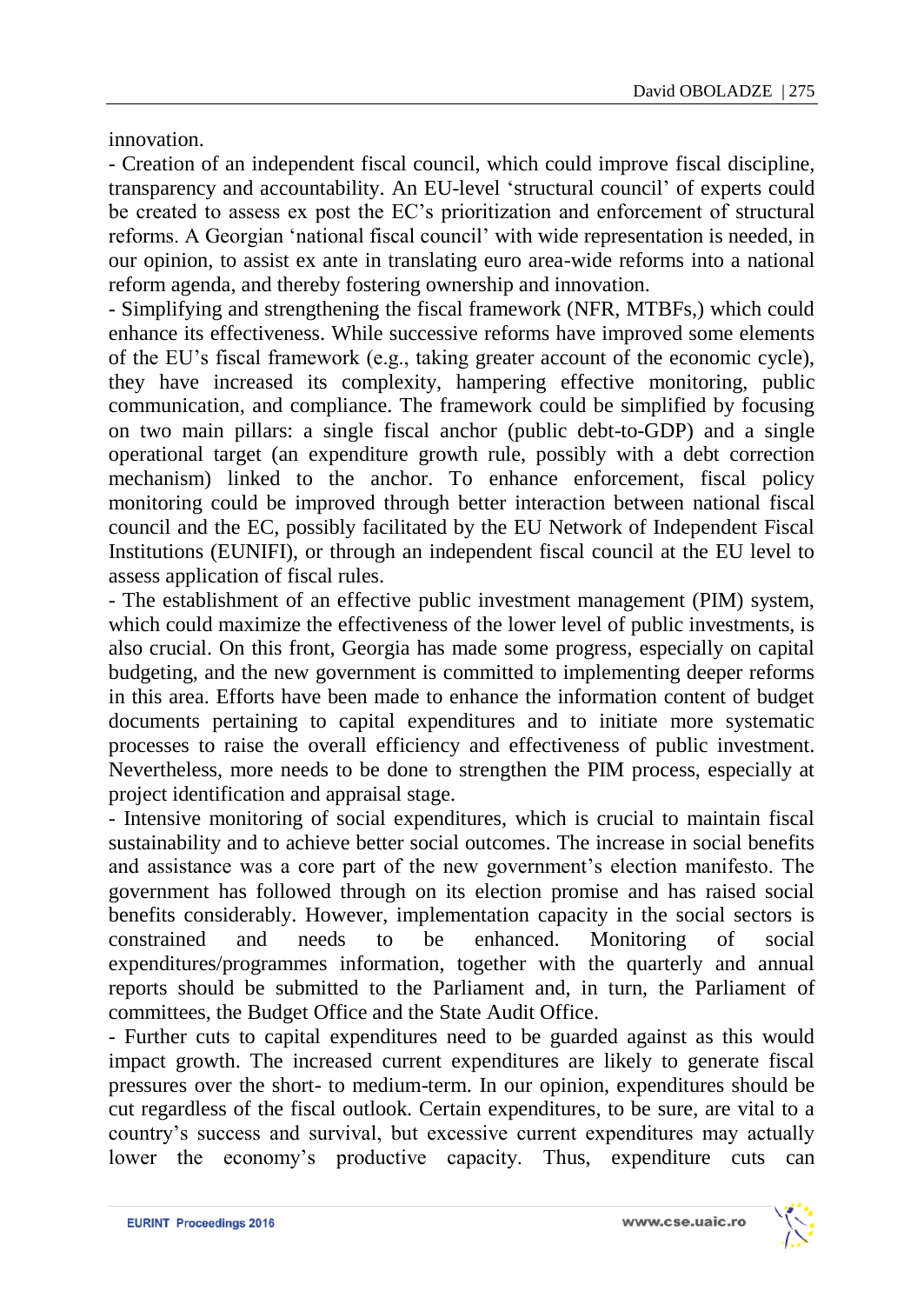innovation.

- Creation of an independent fiscal council, which could improve fiscal discipline, transparency and accountability. An EU-level 'structural council' of experts could be created to assess ex post the EC's prioritization and enforcement of structural reforms. A Georgian 'national fiscal council' with wide representation is needed, in our opinion, to assist ex ante in translating euro area-wide reforms into a national reform agenda, and thereby fostering ownership and innovation.

- Simplifying and strengthening the fiscal framework (NFR, MTBFs,) which could enhance its effectiveness. While successive reforms have improved some elements of the EU's fiscal framework (e.g., taking greater account of the economic cycle), they have increased its complexity, hampering effective monitoring, public communication, and compliance. The framework could be simplified by focusing on two main pillars: a single fiscal anchor (public debt-to-GDP) and a single operational target (an expenditure growth rule, possibly with a debt correction mechanism) linked to the anchor. To enhance enforcement, fiscal policy monitoring could be improved through better interaction between national fiscal council and the EC, possibly facilitated by the EU Network of Independent Fiscal Institutions (EUNIFI), or through an independent fiscal council at the EU level to assess application of fiscal rules.

- The establishment of an effective public investment management (PIM) system, which could maximize the effectiveness of the lower level of public investments, is also crucial. On this front, Georgia has made some progress, especially on capital budgeting, and the new government is committed to implementing deeper reforms in this area. Efforts have been made to enhance the information content of budget documents pertaining to capital expenditures and to initiate more systematic processes to raise the overall efficiency and effectiveness of public investment. Nevertheless, more needs to be done to strengthen the PIM process, especially at project identification and appraisal stage.

- Intensive monitoring of social expenditures, which is crucial to maintain fiscal sustainability and to achieve better social outcomes. The increase in social benefits and assistance was a core part of the new government's election manifesto. The government has followed through on its election promise and has raised social benefits considerably. However, implementation capacity in the social sectors is constrained and needs to be enhanced. Monitoring of social expenditures/programmes information, together with the quarterly and annual reports should be submitted to the Parliament and, in turn, the Parliament of committees, the Budget Office and the State Audit Office.

- Further cuts to capital expenditures need to be guarded against as this would impact growth. The increased current expenditures are likely to generate fiscal pressures over the short- to medium-term. In our opinion, expenditures should be cut regardless of the fiscal outlook. Certain expenditures, to be sure, are vital to a country's success and survival, but excessive current expenditures may actually lower the economy's productive capacity. Thus, expenditure cuts can

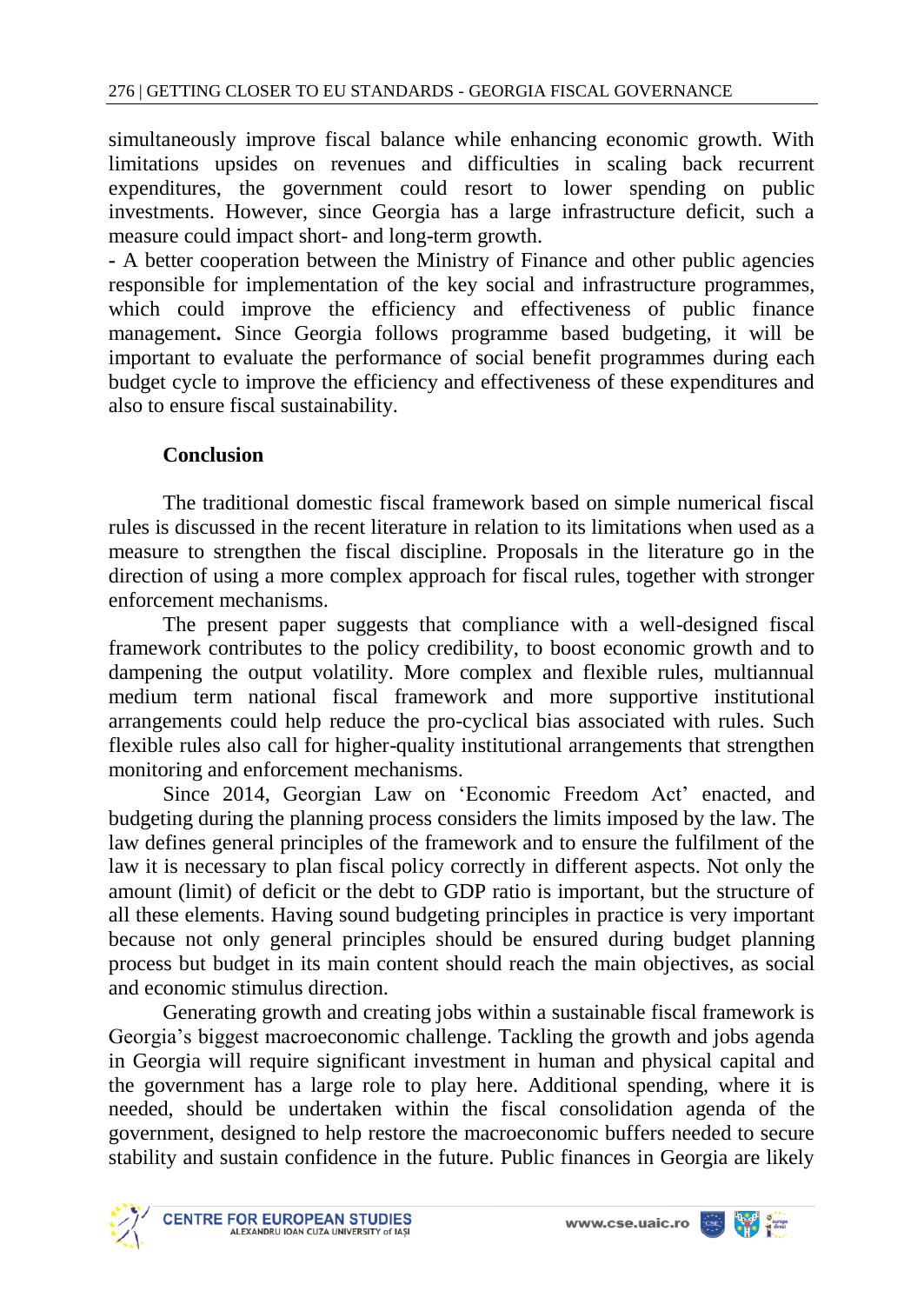simultaneously improve fiscal balance while enhancing economic growth. With limitations upsides on revenues and difficulties in scaling back recurrent expenditures, the government could resort to lower spending on public investments. However, since Georgia has a large infrastructure deficit, such a measure could impact short- and long-term growth.

**-** A better cooperation between the Ministry of Finance and other public agencies responsible for implementation of the key social and infrastructure programmes, which could improve the efficiency and effectiveness of public finance management**.** Since Georgia follows programme based budgeting, it will be important to evaluate the performance of social benefit programmes during each budget cycle to improve the efficiency and effectiveness of these expenditures and also to ensure fiscal sustainability.

# **Conclusion**

The traditional domestic fiscal framework based on simple numerical fiscal rules is discussed in the recent literature in relation to its limitations when used as a measure to strengthen the fiscal discipline. Proposals in the literature go in the direction of using a more complex approach for fiscal rules, together with stronger enforcement mechanisms.

The present paper suggests that compliance with a well-designed fiscal framework contributes to the policy credibility, to boost economic growth and to dampening the output volatility. More complex and flexible rules, multiannual medium term national fiscal framework and more supportive institutional arrangements could help reduce the pro-cyclical bias associated with rules. Such flexible rules also call for higher-quality institutional arrangements that strengthen monitoring and enforcement mechanisms.

Since 2014, Georgian Law on 'Economic Freedom Act' enacted, and budgeting during the planning process considers the limits imposed by the law. The law defines general principles of the framework and to ensure the fulfilment of the law it is necessary to plan fiscal policy correctly in different aspects. Not only the amount (limit) of deficit or the debt to GDP ratio is important, but the structure of all these elements. Having sound budgeting principles in practice is very important because not only general principles should be ensured during budget planning process but budget in its main content should reach the main objectives, as social and economic stimulus direction.

Generating growth and creating jobs within a sustainable fiscal framework is Georgia's biggest macroeconomic challenge. Tackling the growth and jobs agenda in Georgia will require significant investment in human and physical capital and the government has a large role to play here. Additional spending, where it is needed, should be undertaken within the fiscal consolidation agenda of the government, designed to help restore the macroeconomic buffers needed to secure stability and sustain confidence in the future. Public finances in Georgia are likely

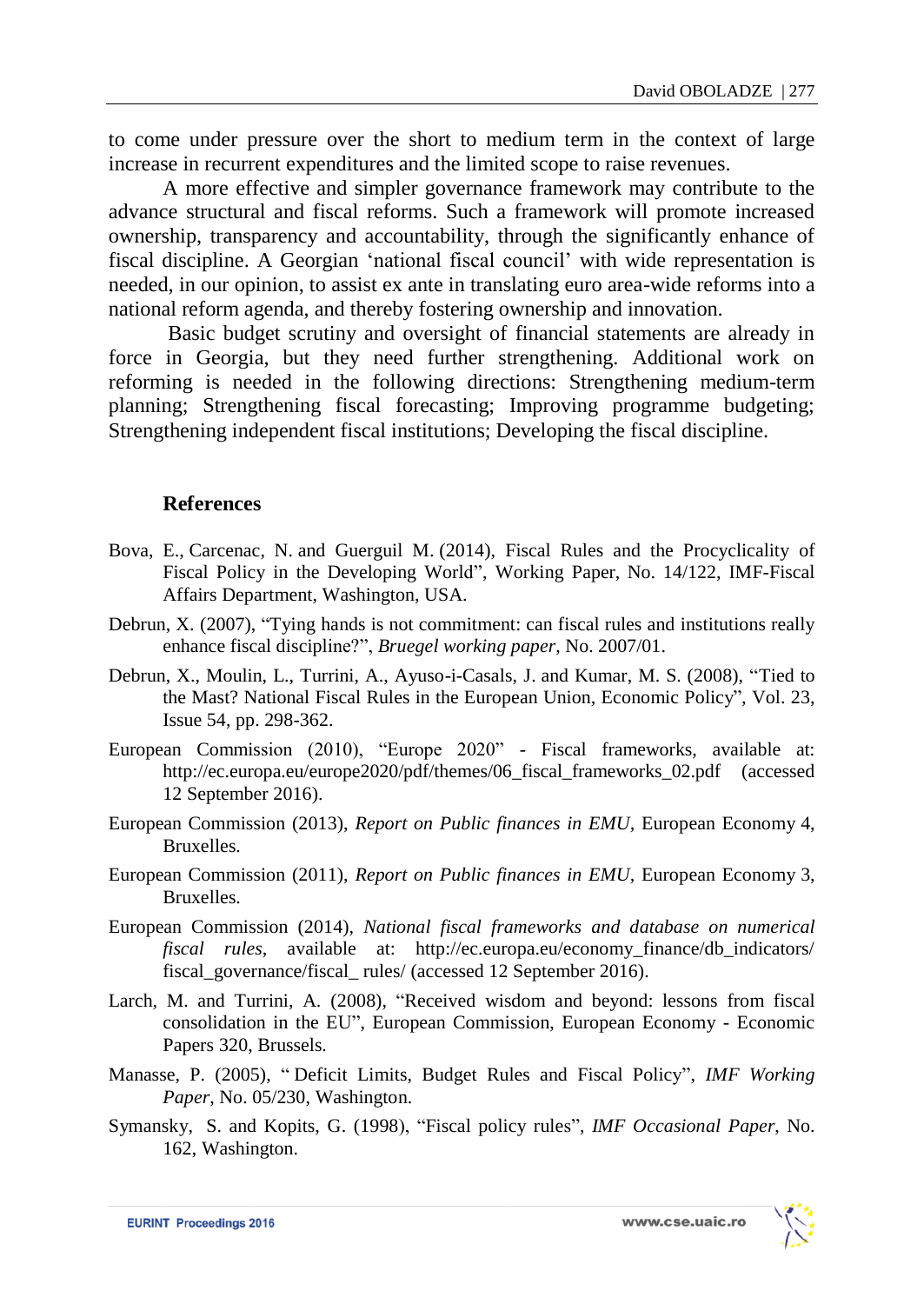to come under pressure over the short to medium term in the context of large increase in recurrent expenditures and the limited scope to raise revenues.

A more effective and simpler governance framework may contribute to the advance structural and fiscal reforms. Such a framework will promote increased ownership, transparency and accountability, through the significantly enhance of fiscal discipline. A Georgian 'national fiscal council' with wide representation is needed, in our opinion, to assist ex ante in translating euro area-wide reforms into a national reform agenda, and thereby fostering ownership and innovation.

Basic budget scrutiny and oversight of financial statements are already in force in Georgia, but they need further strengthening. Additional work on reforming is needed in the following directions: Strengthening medium-term planning; Strengthening fiscal forecasting; Improving programme budgeting; Strengthening independent fiscal institutions; Developing the fiscal discipline.

#### **References**

- Bova, E., Carcenac, N. and Guerguil M. (2014), Fiscal Rules and the Procyclicality of Fiscal Policy in the Developing World", Working Paper, No. 14/122, IMF-Fiscal Affairs Department, Washington, USA.
- Debrun, X. (2007), "Tying hands is not commitment: can fiscal rules and institutions really enhance fiscal discipline?", *Bruegel working paper*, No. 2007/01.
- Debrun, X., Moulin, L., Turrini, A., Ayuso-i-Casals, J. and Kumar, M. S. (2008), "Tied to the Mast? National Fiscal Rules in the European Union*,* Economic Policy"*,* Vol. 23, Issue 54, pp. 298-362.
- European Commission (2010), "Europe 2020" Fiscal frameworks, available at: http://ec.europa.eu/europe2020/pdf/themes/06\_fiscal\_frameworks\_02.pdf (accessed 12 September 2016).
- European Commission (2013), *Report on Public finances in EMU,* European Economy 4, Bruxelles.
- European Commission (2011), *Report on Public finances in EMU,* European Economy 3, Bruxelles.
- European Commission (2014), *National fiscal frameworks and database on numerical fiscal rules*, available at: http://ec.europa.eu/economy\_finance/db\_indicators/ fiscal\_governance/fiscal\_rules/ (accessed 12 September 2016).
- Larch, M. and Turrini, A. (2008), "Received wisdom and beyond: lessons from fiscal consolidation in the EU", European Commission, European Economy - Economic Papers 320, Brussels.
- Manasse, P. (2005), " Deficit Limits, Budget Rules and Fiscal Policy", *IMF Working Paper*, No. 05/230, Washington.
- Symansky, S. and Kopits, G. (1998), "Fiscal policy rules", *IMF Occasional Paper*, No. 162, Washington.

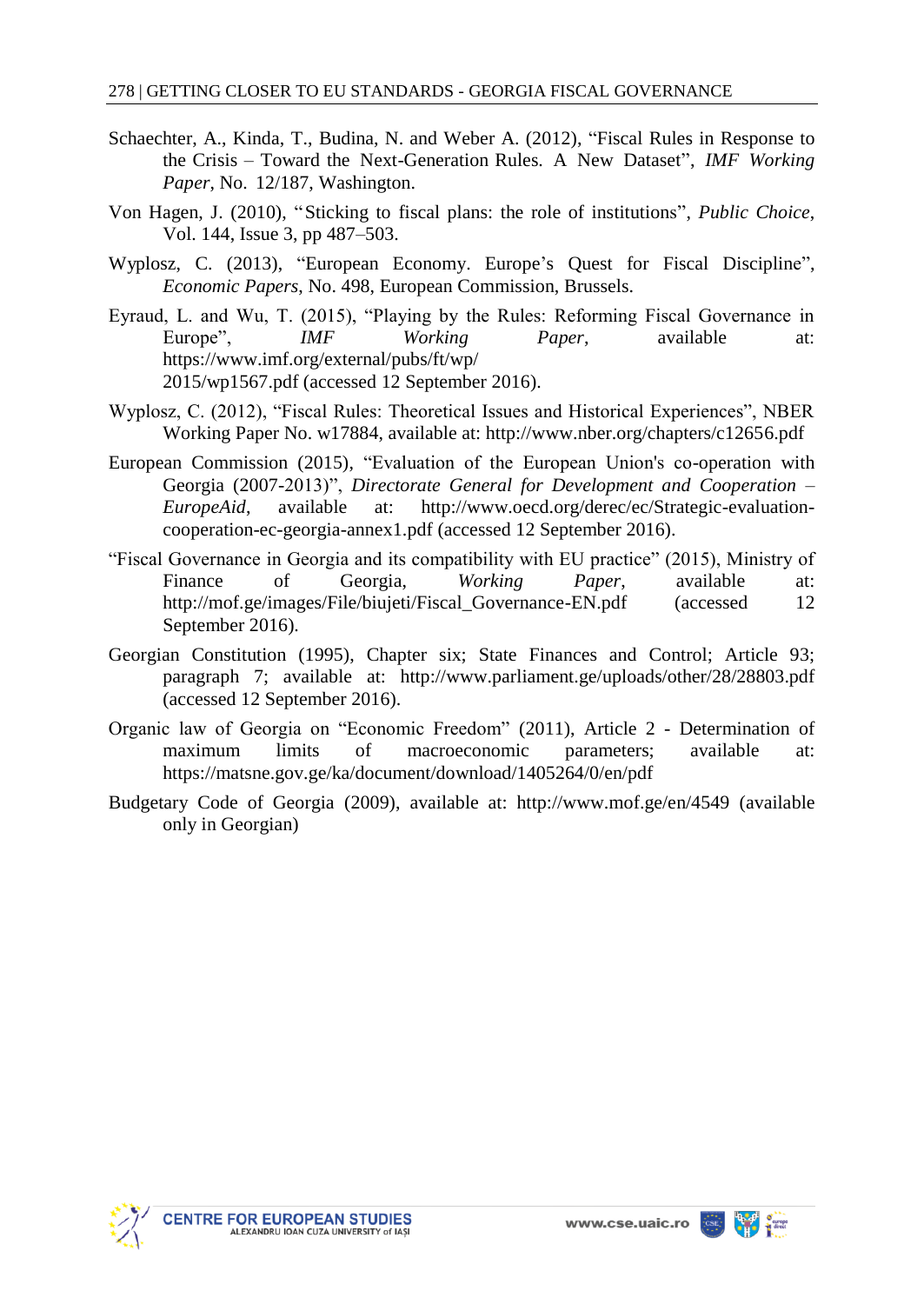- Schaechter, A., Kinda, T., Budina, N. and Weber A. (2012), "Fiscal Rules in Response to the Crisis – Toward the Next-Generation Rules. A New Dataset", *IMF Working Paper*, No. 12/187, Washington.
- Von Hagen, J. (2010), "Sticking to fiscal plans: the role of institutions", *Public Choice*, Vol. 144, Issue 3, pp 487–503.
- Wyplosz, C. (2013), "European Economy. Europe's Quest for Fiscal Discipline", *Economic Papers*, No. 498, European Commission, Brussels.
- Eyraud, L. and Wu, T. (2015), "Playing by the Rules: Reforming Fiscal Governance in Europe", *IMF Working Paper*, available at: https://www.imf.org/external/pubs/ft/wp/ 2015/wp1567.pdf (accessed 12 September 2016).
- Wyplosz, C. (2012), "Fiscal Rules: Theoretical Issues and Historical Experiences", NBER Working Paper No. w17884, available at: http://www.nber.org/chapters/c12656.pdf
- European Commission (2015), "Evaluation of the European Union's co-operation with Georgia (2007-2013)", *Directorate General for Development and Cooperation – EuropeAid*, available at: http://www.oecd.org/derec/ec/Strategic-evaluationcooperation-ec-georgia-annex1.pdf (accessed 12 September 2016).
- "Fiscal Governance in Georgia and its compatibility with EU practice" (2015), Ministry of Finance of Georgia, *Working Paper*, available at: http://mof.ge/images/File/biujeti/Fiscal\_Governance-EN.pdf (accessed 12 September 2016).
- Georgian Constitution (1995), Chapter six; State Finances and Control; Article 93; paragraph 7; available at: http://www.parliament.ge/uploads/other/28/28803.pdf (accessed 12 September 2016).
- Organic law of Georgia on "Economic Freedom" (2011), Article 2 Determination of maximum limits of macroeconomic parameters; available at: <https://matsne.gov.ge/ka/document/download/1405264/0/en/pdf>
- Budgetary Code of Georgia (2009), available at: <http://www.mof.ge/en/4549> (available only in Georgian)